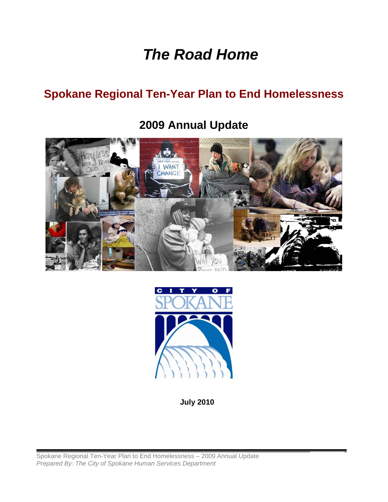# *The Road Home*

## **Spokane Regional Ten-Year Plan to End Homelessness**

## **2009 Annual Update**





**July 2010** 

Spokane Regional Ten-Year Plan to End Homelessness - 2009 Annual Update *Prepared By: The City of Spokane Human Services Department*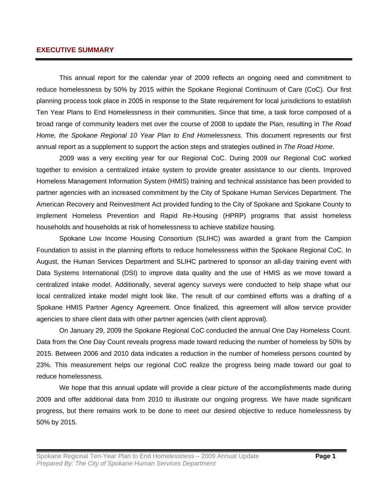## **EXECUTIVE SUMMARY**

This annual report for the calendar year of 2009 reflects an ongoing need and commitment to reduce homelessness by 50% by 2015 within the Spokane Regional Continuum of Care (CoC). Our first planning process took place in 2005 in response to the State requirement for local jurisdictions to establish Ten Year Plans to End Homelessness in their communities. Since that time, a task force composed of a broad range of community leaders met over the course of 2008 to update the Plan, resulting in *The Road Home, the Spokane Regional 10 Year Plan to End Homelessness.* This document represents our first annual report as a supplement to support the action steps and strategies outlined in *The Road Home*.

2009 was a very exciting year for our Regional CoC. During 2009 our Regional CoC worked together to envision a centralized intake system to provide greater assistance to our clients. Improved Homeless Management Information System (HMIS) training and technical assistance has been provided to partner agencies with an increased commitment by the City of Spokane Human Services Department. The American Recovery and Reinvestment Act provided funding to the City of Spokane and Spokane County to implement Homeless Prevention and Rapid Re-Housing (HPRP) programs that assist homeless households and households at risk of homelessness to achieve stabilize housing.

Spokane Low Income Housing Consortium (SLIHC) was awarded a grant from the Campion Foundation to assist in the planning efforts to reduce homelessness within the Spokane Regional CoC. In August, the Human Services Department and SLIHC partnered to sponsor an all-day training event with Data Systems International (DSI) to improve data quality and the use of HMIS as we move toward a centralized intake model. Additionally, several agency surveys were conducted to help shape what our local centralized intake model might look like. The result of our combined efforts was a drafting of a Spokane HMIS Partner Agency Agreement. Once finalized, this agreement will allow service provider agencies to share client data with other partner agencies (with client approval).

On January 29, 2009 the Spokane Regional CoC conducted the annual One Day Homeless Count. Data from the One Day Count reveals progress made toward reducing the number of homeless by 50% by 2015. Between 2006 and 2010 data indicates a reduction in the number of homeless persons counted by 23%. This measurement helps our regional CoC realize the progress being made toward our goal to reduce homelessness.

We hope that this annual update will provide a clear picture of the accomplishments made during 2009 and offer additional data from 2010 to illustrate our ongoing progress. We have made significant progress, but there remains work to be done to meet our desired objective to reduce homelessness by 50% by 2015.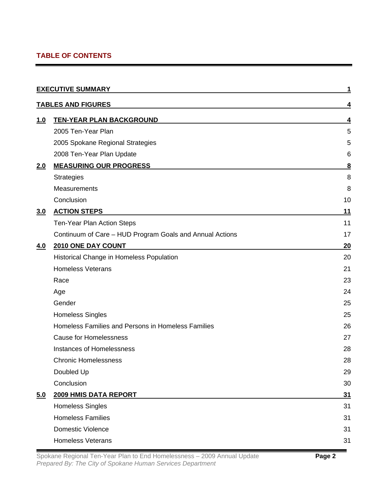## **TABLE OF CONTENTS**

|            | <b>EXECUTIVE SUMMARY</b>                                 |                         |
|------------|----------------------------------------------------------|-------------------------|
|            | <b>TABLES AND FIGURES</b>                                | 4                       |
| <u>1.0</u> | <b>TEN-YEAR PLAN BACKGROUND</b>                          | 4                       |
|            | 2005 Ten-Year Plan                                       | 5                       |
|            | 2005 Spokane Regional Strategies                         | 5                       |
|            | 2008 Ten-Year Plan Update                                | 6                       |
| 2.0        | <b>MEASURING OUR PROGRESS</b>                            | $\overline{\mathbf{8}}$ |
|            | <b>Strategies</b>                                        | 8                       |
|            | Measurements                                             | 8                       |
|            | Conclusion                                               | 10                      |
| 3.0        | <b>ACTION STEPS</b>                                      | 11                      |
|            | Ten-Year Plan Action Steps                               | 11                      |
|            | Continuum of Care - HUD Program Goals and Annual Actions | 17                      |
| <u>4.0</u> | <b>2010 ONE DAY COUNT</b>                                | 20                      |
|            | Historical Change in Homeless Population                 | 20                      |
|            | <b>Homeless Veterans</b>                                 | 21                      |
|            | Race                                                     | 23                      |
|            | Age                                                      | 24                      |
|            | Gender                                                   | 25                      |
|            | <b>Homeless Singles</b>                                  | 25                      |
|            | Homeless Families and Persons in Homeless Families       | 26                      |
|            | <b>Cause for Homelessness</b>                            | 27                      |
|            | Instances of Homelessness                                | 28                      |
|            | <b>Chronic Homelessness</b>                              | 28                      |
|            | Doubled Up                                               | 29                      |
|            | Conclusion                                               | 30                      |
| 5.0        | 2009 HMIS DATA REPORT                                    | 31                      |
|            | <b>Homeless Singles</b>                                  | 31                      |
|            | <b>Homeless Families</b>                                 | 31                      |
|            | <b>Domestic Violence</b>                                 | 31                      |
|            | <b>Homeless Veterans</b>                                 | 31                      |

Spokane Regional Ten-Year Plan to End Homelessness – 2009 Annual Update **Page 2** *Prepared By: The City of Spokane Human Services Department*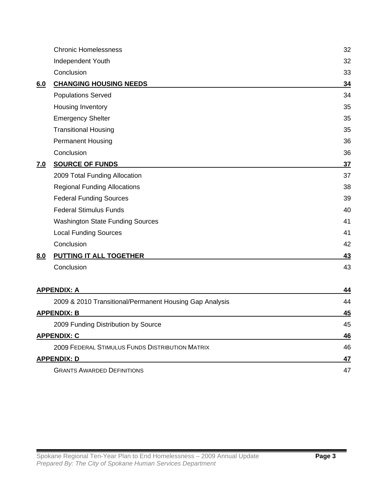| Independent Youth<br>Conclusion<br><b>CHANGING HOUSING NEEDS</b><br>6.0<br><b>Populations Served</b><br>Housing Inventory<br><b>Emergency Shelter</b><br><b>Transitional Housing</b><br><b>Permanent Housing</b> | 32<br>33<br>34<br>34<br>35<br>35<br>35<br>36<br>36<br>37 |
|------------------------------------------------------------------------------------------------------------------------------------------------------------------------------------------------------------------|----------------------------------------------------------|
|                                                                                                                                                                                                                  |                                                          |
|                                                                                                                                                                                                                  |                                                          |
|                                                                                                                                                                                                                  |                                                          |
|                                                                                                                                                                                                                  |                                                          |
|                                                                                                                                                                                                                  |                                                          |
|                                                                                                                                                                                                                  |                                                          |
|                                                                                                                                                                                                                  |                                                          |
|                                                                                                                                                                                                                  |                                                          |
| Conclusion                                                                                                                                                                                                       |                                                          |
| <b>SOURCE OF FUNDS</b><br><u>7.0</u>                                                                                                                                                                             |                                                          |
| 2009 Total Funding Allocation                                                                                                                                                                                    | 37                                                       |
| <b>Regional Funding Allocations</b>                                                                                                                                                                              | 38                                                       |
| <b>Federal Funding Sources</b>                                                                                                                                                                                   | 39                                                       |
| <b>Federal Stimulus Funds</b>                                                                                                                                                                                    | 40                                                       |
| <b>Washington State Funding Sources</b>                                                                                                                                                                          | 41                                                       |
| <b>Local Funding Sources</b>                                                                                                                                                                                     | 41                                                       |
| Conclusion                                                                                                                                                                                                       | 42                                                       |
| <b>PUTTING IT ALL TOGETHER</b><br>8.0                                                                                                                                                                            | 43                                                       |
| Conclusion                                                                                                                                                                                                       | 43                                                       |
| <b>APPENDIX: A</b>                                                                                                                                                                                               | 44                                                       |
| 2009 & 2010 Transitional/Permanent Housing Gap Analysis                                                                                                                                                          | 44                                                       |
| <b>APPENDIX: B</b>                                                                                                                                                                                               | 45                                                       |
| 2009 Funding Distribution by Source                                                                                                                                                                              | 45                                                       |
| <b>APPENDIX: C</b>                                                                                                                                                                                               | 46                                                       |
| 2009 FEDERAL STIMULUS FUNDS DISTRIBUTION MATRIX                                                                                                                                                                  | 46                                                       |
| <b>APPENDIX: D</b>                                                                                                                                                                                               | <u>47</u>                                                |
| <b>GRANTS AWARDED DEFINITIONS</b>                                                                                                                                                                                | 47                                                       |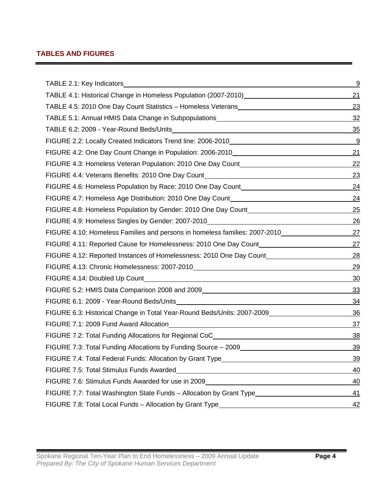## **TABLES AND FIGURES**

|                                                                                                                                                                                                                                      | <u>9</u>  |
|--------------------------------------------------------------------------------------------------------------------------------------------------------------------------------------------------------------------------------------|-----------|
| TABLE 4.1: Historical Change in Homeless Population (2007-2010)__________________                                                                                                                                                    | <u>21</u> |
| TABLE 4.5: 2010 One Day Count Statistics - Homeless Veterans                                                                                                                                                                         | 23        |
| TABLE 5.1: Annual HMIS Data Change in Subpopulations____________________________                                                                                                                                                     | 32        |
|                                                                                                                                                                                                                                      | 35        |
| FIGURE 2.2: Locally Created Indicators Trend line: 2006-2010                                                                                                                                                                         | <u>್ರ</u> |
| FIGURE 4.2: One Day Count Change in Population: 2006-2010________________________                                                                                                                                                    | 21        |
| FIGURE 4.3: Homeless Veteran Population: 2010 One Day Count                                                                                                                                                                          | <u>22</u> |
| FIGURE 4.4: Veterans Benefits: 2010 One Day Count________________________________                                                                                                                                                    | 23        |
| FIGURE 4.6: Homeless Population by Race: 2010 One Day Count______________________                                                                                                                                                    | 24        |
| FIGURE 4.7: Homeless Age Distribution: 2010 One Day Count_______________________                                                                                                                                                     | 24        |
| FIGURE 4.8: Homeless Population by Gender: 2010 One Day Count____________________                                                                                                                                                    | 25        |
| FIGURE 4.9: Homeless Singles by Gender: 2007-2010_______________________________                                                                                                                                                     | <u>26</u> |
| FIGURE 4.10: Homeless Families and persons in homeless families: 2007-2010                                                                                                                                                           | 27        |
| FIGURE 4.11: Reported Cause for Homelessness: 2010 One Day Count________________                                                                                                                                                     | 27        |
| FIGURE 4.12: Reported Instances of Homelessness: 2010 One Day Count                                                                                                                                                                  | 28        |
|                                                                                                                                                                                                                                      | <u>29</u> |
|                                                                                                                                                                                                                                      | 30        |
| FIGURE 5.2: HMIS Data Comparison 2008 and 2009 [19] Data Control Control Control of The Control of The Control O                                                                                                                     | <u>33</u> |
| FIGURE 6.1: 2009 - Year-Round Beds/Units <b>Contract Contract Contract Contract Contract Contract Contract Contract Contract Contract Contract Contract Contract Contract Contract Contract Contract Contract Contract Contract </b> | <u>34</u> |
| FIGURE 6.3: Historical Change in Total Year-Round Beds/Units: 2007-2009_____________________________                                                                                                                                 | 36        |
|                                                                                                                                                                                                                                      | <u>37</u> |
| FIGURE 7.2: Total Funding Allocations for Regional CoC___________________________                                                                                                                                                    | <u>38</u> |
| FIGURE 7.3: Total Funding Allocations by Funding Source - 2009                                                                                                                                                                       | <u>39</u> |
| FIGURE 7.4: Total Federal Funds: Allocation by Grant Type                                                                                                                                                                            | 39        |
| FIGURE 7.5: Total Stimulus Funds Awarded News Art 2014 19:00 12:00 12:00 12:00 12:00 12:00 12:00 12:00 12:00 1                                                                                                                       | <u>40</u> |
| FIGURE 7.6: Stimulus Funds Awarded for use in 2009 <b>FIGURE 7.6: Stimulus Figure 2.6: Stimulus Funds</b>                                                                                                                            | 40        |
| FIGURE 7.7: Total Washington State Funds - Allocation by Grant Type______________                                                                                                                                                    | 41        |
| FIGURE 7.8: Total Local Funds - Allocation by Grant Type________________________                                                                                                                                                     | 42        |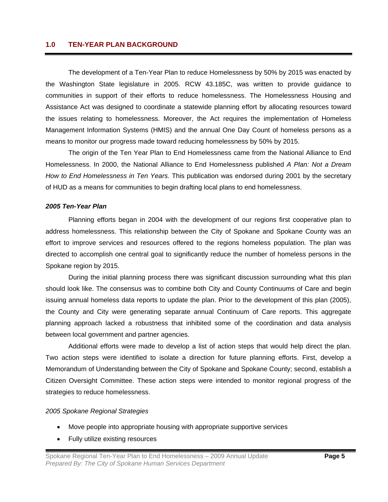## **1.0 TEN-YEAR PLAN BACKGROUND**

The development of a Ten-Year Plan to reduce Homelessness by 50% by 2015 was enacted by the Washington State legislature in 2005. RCW 43.185C, was written to provide guidance to communities in support of their efforts to reduce homelessness. The Homelessness Housing and Assistance Act was designed to coordinate a statewide planning effort by allocating resources toward the issues relating to homelessness. Moreover, the Act requires the implementation of Homeless Management Information Systems (HMIS) and the annual One Day Count of homeless persons as a means to monitor our progress made toward reducing homelessness by 50% by 2015.

 The origin of the Ten Year Plan to End Homelessness came from the National Alliance to End Homelessness. In 2000, the National Alliance to End Homelessness published *A Plan: Not a Dream How to End Homelessness in Ten Years.* This publication was endorsed during 2001 by the secretary of HUD as a means for communities to begin drafting local plans to end homelessness.

#### *2005 Ten-Year Plan*

Planning efforts began in 2004 with the development of our regions first cooperative plan to address homelessness. This relationship between the City of Spokane and Spokane County was an effort to improve services and resources offered to the regions homeless population. The plan was directed to accomplish one central goal to significantly reduce the number of homeless persons in the Spokane region by 2015.

During the initial planning process there was significant discussion surrounding what this plan should look like. The consensus was to combine both City and County Continuums of Care and begin issuing annual homeless data reports to update the plan. Prior to the development of this plan (2005), the County and City were generating separate annual Continuum of Care reports. This aggregate planning approach lacked a robustness that inhibited some of the coordination and data analysis between local government and partner agencies.

Additional efforts were made to develop a list of action steps that would help direct the plan. Two action steps were identified to isolate a direction for future planning efforts. First, develop a Memorandum of Understanding between the City of Spokane and Spokane County; second, establish a Citizen Oversight Committee. These action steps were intended to monitor regional progress of the strategies to reduce homelessness.

## *2005 Spokane Regional Strategies*

- Move people into appropriate housing with appropriate supportive services
- Fully utilize existing resources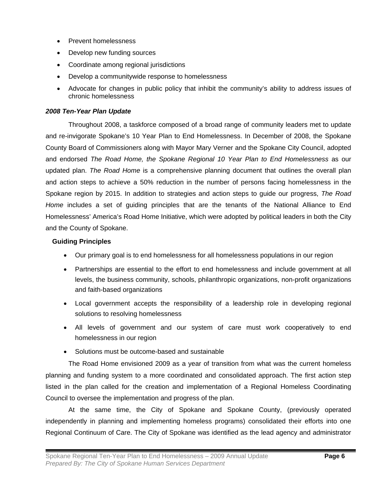- Prevent homelessness
- Develop new funding sources
- Coordinate among regional jurisdictions
- Develop a communitywide response to homelessness
- Advocate for changes in public policy that inhibit the community's ability to address issues of chronic homelessness

## *2008 Ten-Year Plan Update*

Throughout 2008, a taskforce composed of a broad range of community leaders met to update and re-invigorate Spokane's 10 Year Plan to End Homelessness. In December of 2008, the Spokane County Board of Commissioners along with Mayor Mary Verner and the Spokane City Council, adopted and endorsed *The Road Home, the Spokane Regional 10 Year Plan to End Homelessness* as our updated plan. *The Road Home* is a comprehensive planning document that outlines the overall plan and action steps to achieve a 50% reduction in the number of persons facing homelessness in the Spokane region by 2015. In addition to strategies and action steps to guide our progress, *The Road Home* includes a set of guiding principles that are the tenants of the National Alliance to End Homelessness' America's Road Home Initiative, which were adopted by political leaders in both the City and the County of Spokane.

## **Guiding Principles**

- Our primary goal is to end homelessness for all homelessness populations in our region
- Partnerships are essential to the effort to end homelessness and include government at all levels, the business community, schools, philanthropic organizations, non-profit organizations and faith-based organizations
- Local government accepts the responsibility of a leadership role in developing regional solutions to resolving homelessness
- All levels of government and our system of care must work cooperatively to end homelessness in our region
- Solutions must be outcome-based and sustainable

The Road Home envisioned 2009 as a year of transition from what was the current homeless planning and funding system to a more coordinated and consolidated approach. The first action step listed in the plan called for the creation and implementation of a Regional Homeless Coordinating Council to oversee the implementation and progress of the plan.

At the same time, the City of Spokane and Spokane County, (previously operated independently in planning and implementing homeless programs) consolidated their efforts into one Regional Continuum of Care. The City of Spokane was identified as the lead agency and administrator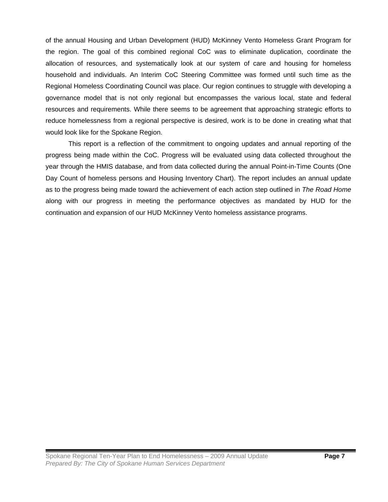of the annual Housing and Urban Development (HUD) McKinney Vento Homeless Grant Program for the region. The goal of this combined regional CoC was to eliminate duplication, coordinate the allocation of resources, and systematically look at our system of care and housing for homeless household and individuals. An Interim CoC Steering Committee was formed until such time as the Regional Homeless Coordinating Council was place. Our region continues to struggle with developing a governance model that is not only regional but encompasses the various local, state and federal resources and requirements. While there seems to be agreement that approaching strategic efforts to reduce homelessness from a regional perspective is desired, work is to be done in creating what that would look like for the Spokane Region.

This report is a reflection of the commitment to ongoing updates and annual reporting of the progress being made within the CoC. Progress will be evaluated using data collected throughout the year through the HMIS database, and from data collected during the annual Point-in-Time Counts (One Day Count of homeless persons and Housing Inventory Chart). The report includes an annual update as to the progress being made toward the achievement of each action step outlined in *The Road Home* along with our progress in meeting the performance objectives as mandated by HUD for the continuation and expansion of our HUD McKinney Vento homeless assistance programs.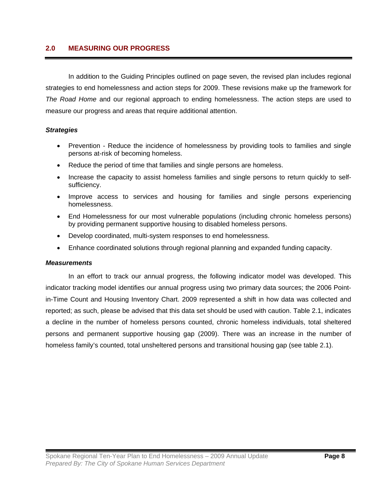## **2.0 MEASURING OUR PROGRESS**

In addition to the Guiding Principles outlined on page seven, the revised plan includes regional strategies to end homelessness and action steps for 2009. These revisions make up the framework for *The Road Home* and our regional approach to ending homelessness. The action steps are used to measure our progress and areas that require additional attention.

## *Strategies*

- Prevention Reduce the incidence of homelessness by providing tools to families and single persons at-risk of becoming homeless.
- Reduce the period of time that families and single persons are homeless.
- Increase the capacity to assist homeless families and single persons to return quickly to selfsufficiency.
- Improve access to services and housing for families and single persons experiencing homelessness.
- End Homelessness for our most vulnerable populations (including chronic homeless persons) by providing permanent supportive housing to disabled homeless persons.
- Develop coordinated, multi-system responses to end homelessness.
- Enhance coordinated solutions through regional planning and expanded funding capacity.

## *Measurements*

 In an effort to track our annual progress, the following indicator model was developed. This indicator tracking model identifies our annual progress using two primary data sources; the 2006 Pointin-Time Count and Housing Inventory Chart. 2009 represented a shift in how data was collected and reported; as such, please be advised that this data set should be used with caution. Table 2.1, indicates a decline in the number of homeless persons counted, chronic homeless individuals, total sheltered persons and permanent supportive housing gap (2009). There was an increase in the number of homeless family's counted, total unsheltered persons and transitional housing gap (see table 2.1).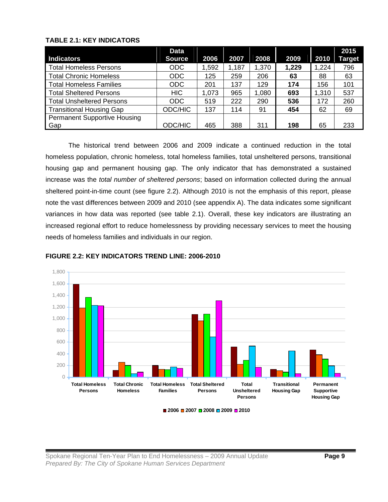## **TABLE 2.1: KEY INDICATORS**

| Indicators                          | <b>Data</b><br><b>Source</b> | 2006  | 2007  | 2008  | 2009  | 2010  | 2015<br><b>Target</b> |
|-------------------------------------|------------------------------|-------|-------|-------|-------|-------|-----------------------|
| <b>Total Homeless Persons</b>       | <b>ODC</b>                   | 1,592 | 1,187 | 1,370 | 1,229 | 1,224 | 796                   |
| <b>Total Chronic Homeless</b>       | <b>ODC</b>                   | 125   | 259   | 206   | 63    | 88    | 63                    |
| <b>Total Homeless Families</b>      | <b>ODC</b>                   | 201   | 137   | 129   | 174   | 156   | 101                   |
| <b>Total Sheltered Persons</b>      | <b>HIC</b>                   | 1,073 | 965   | 1,080 | 693   | 1,310 | 537                   |
| <b>Total Unsheltered Persons</b>    | <b>ODC</b>                   | 519   | 222   | 290   | 536   | 172   | 260                   |
| <b>Transitional Housing Gap</b>     | ODC/HIC                      | 137   | 114   | 91    | 454   | 62    | 69                    |
| <b>Permanent Supportive Housing</b> |                              |       |       |       |       |       |                       |
| Gap                                 | ODC/HIC                      | 465   | 388   | 311   | 198   | 65    | 233                   |

The historical trend between 2006 and 2009 indicate a continued reduction in the total homeless population, chronic homeless, total homeless families, total unsheltered persons, transitional housing gap and permanent housing gap. The only indicator that has demonstrated a sustained increase was the *total number of sheltered persons*; based on information collected during the annual sheltered point-in-time count (see figure 2.2). Although 2010 is not the emphasis of this report, please note the vast differences between 2009 and 2010 (see appendix A). The data indicates some significant variances in how data was reported (see table 2.1). Overall, these key indicators are illustrating an increased regional effort to reduce homelessness by providing necessary services to meet the housing needs of homeless families and individuals in our region.



## **FIGURE 2.2: KEY INDICATORS TREND LINE: 2006-2010**

**2006 2007 2008 2009 2010**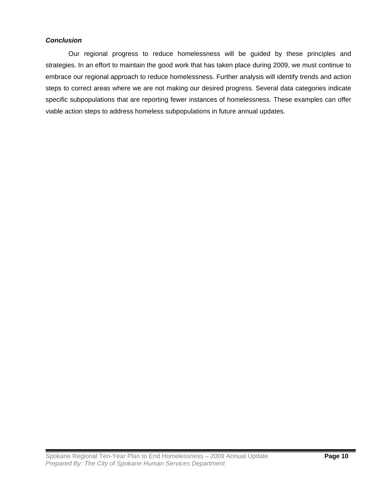## *Conclusion*

 Our regional progress to reduce homelessness will be guided by these principles and strategies. In an effort to maintain the good work that has taken place during 2009, we must continue to embrace our regional approach to reduce homelessness. Further analysis will identify trends and action steps to correct areas where we are not making our desired progress. Several data categories indicate specific subpopulations that are reporting fewer instances of homelessness. These examples can offer viable action steps to address homeless subpopulations in future annual updates.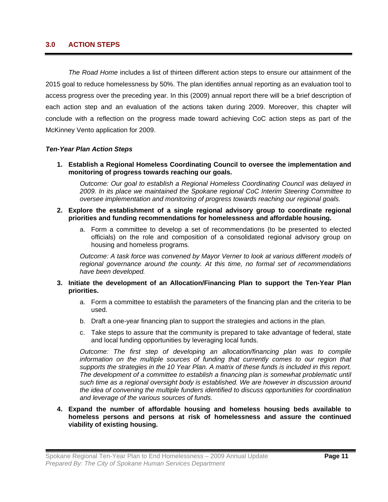## **3.0 ACTION STEPS**

*The Road Home* includes a list of thirteen different action steps to ensure our attainment of the 2015 goal to reduce homelessness by 50%. The plan identifies annual reporting as an evaluation tool to access progress over the preceding year. In this (2009) annual report there will be a brief description of each action step and an evaluation of the actions taken during 2009. Moreover, this chapter will conclude with a reflection on the progress made toward achieving CoC action steps as part of the McKinney Vento application for 2009.

## *Ten-Year Plan Action Steps*

**1. Establish a Regional Homeless Coordinating Council to oversee the implementation and monitoring of progress towards reaching our goals.** 

*Outcome: Our goal to establish a Regional Homeless Coordinating Council was delayed in 2009. In its place we maintained the Spokane regional CoC Interim Steering Committee to oversee implementation and monitoring of progress towards reaching our regional goals.*

- **2. Explore the establishment of a single regional advisory group to coordinate regional priorities and funding recommendations for homelessness and affordable housing.** 
	- a. Form a committee to develop a set of recommendations (to be presented to elected officials) on the role and composition of a consolidated regional advisory group on housing and homeless programs.

*Outcome: A task force was convened by Mayor Verner to look at various different models of regional governance around the county. At this time, no formal set of recommendations have been developed.* 

#### **3. Initiate the development of an Allocation/Financing Plan to support the Ten-Year Plan priorities.**

- a. Form a committee to establish the parameters of the financing plan and the criteria to be used.
- b. Draft a one-year financing plan to support the strategies and actions in the plan.
- c. Take steps to assure that the community is prepared to take advantage of federal, state and local funding opportunities by leveraging local funds.

*Outcome: The first step of developing an allocation/financing plan was to compile information on the multiple sources of funding that currently comes to our region that supports the strategies in the 10 Year Plan. A matrix of these funds is included in this report.*  The development of a committee to establish a financing plan is somewhat problematic until *such time as a regional oversight body is established. We are however in discussion around the idea of convening the multiple funders identified to discuss opportunities for coordination and leverage of the various sources of funds.* 

**4. Expand the number of affordable housing and homeless housing beds available to homeless persons and persons at risk of homelessness and assure the continued viability of existing housing.**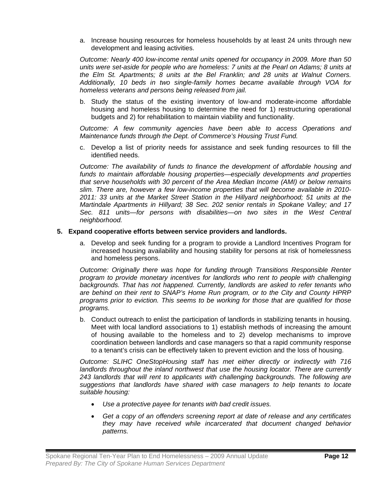a. Increase housing resources for homeless households by at least 24 units through new development and leasing activities.

*Outcome: Nearly 400 low-income rental units opened for occupancy in 2009. More than 50 units were set-aside for people who are homeless: 7 units at the Pearl on Adams; 8 units at the Elm St. Apartments; 8 units at the Bel Franklin; and 28 units at Walnut Corners. Additionally, 10 beds in two single-family homes became available through VOA for homeless veterans and persons being released from jail.* 

b. Study the status of the existing inventory of low-and moderate-income affordable housing and homeless housing to determine the need for 1) restructuring operational budgets and 2) for rehabilitation to maintain viability and functionality.

*Outcome: A few community agencies have been able to access Operations and Maintenance funds through the Dept. of Commerce's Housing Trust Fund.*

c. Develop a list of priority needs for assistance and seek funding resources to fill the identified needs.

*Outcome: The availability of funds to finance the development of affordable housing and funds to maintain affordable housing properties—especially developments and properties that serve households with 30 percent of the Area Median Income (AMI) or below remains slim. There are, however a few low-income properties that will become available in 2010- 2011: 33 units at the Market Street Station in the Hillyard neighborhood; 51 units at the Martindale Apartments in Hillyard; 38 Sec. 202 senior rentals in Spokane Valley; and 17 Sec. 811 units—for persons with disabilities—on two sites in the West Central neighborhood.* 

## **5. Expand cooperative efforts between service providers and landlords.**

a. Develop and seek funding for a program to provide a Landlord Incentives Program for increased housing availability and housing stability for persons at risk of homelessness and homeless persons.

*Outcome: Originally there was hope for funding through Transitions Responsible Renter program to provide monetary incentives for landlords who rent to people with challenging backgrounds. That has not happened. Currently, landlords are asked to refer tenants who are behind on their rent to SNAP's Home Run program, or to the City and County HPRP programs prior to eviction. This seems to be working for those that are qualified for those programs.*

b. Conduct outreach to enlist the participation of landlords in stabilizing tenants in housing. Meet with local landlord associations to 1) establish methods of increasing the amount of housing available to the homeless and to 2) develop mechanisms to improve coordination between landlords and case managers so that a rapid community response to a tenant's crisis can be effectively taken to prevent eviction and the loss of housing.

*Outcome: SLIHC OneStopHousing staff has met either directly or indirectly with 716 landlords throughout the inland northwest that use the housing locator. There are currently 243 landlords that will rent to applicants with challenging backgrounds. The following are suggestions that landlords have shared with case managers to help tenants to locate suitable housing:* 

- *Use a protective payee for tenants with bad credit issues.*
- *Get a copy of an offenders screening report at date of release and any certificates they may have received while incarcerated that document changed behavior patterns.*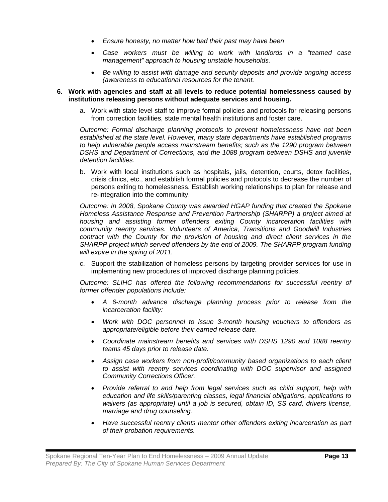- *Ensure honesty, no matter how bad their past may have been*
- *Case workers must be willing to work with landlords in a "teamed case management" approach to housing unstable households.*
- *Be willing to assist with damage and security deposits and provide ongoing access (awareness to educational resources for the tenant.*

#### **6. Work with agencies and staff at all levels to reduce potential homelessness caused by institutions releasing persons without adequate services and housing.**

a. Work with state level staff to improve formal policies and protocols for releasing persons from correction facilities, state mental health institutions and foster care.

*Outcome: Formal discharge planning protocols to prevent homelessness have not been established at the state level. However, many state departments have established programs to help vulnerable people access mainstream benefits; such as the 1290 program between*  DSHS and Department of Corrections, and the 1088 program between DSHS and juvenile *detention facilities.* 

b. Work with local institutions such as hospitals, jails, detention, courts, detox facilities, crisis clinics, etc., and establish formal policies and protocols to decrease the number of persons exiting to homelessness. Establish working relationships to plan for release and re-integration into the community.

*Outcome: In 2008, Spokane County was awarded HGAP funding that created the Spokane Homeless Assistance Response and Prevention Partnership (SHARPP) a project aimed at housing and assisting former offenders exiting County incarceration facilities with community reentry services. Volunteers of America, Transitions and Goodwill Industries contract with the County for the provision of housing and direct client services in the SHARPP project which served offenders by the end of 2009. The SHARPP program funding will expire in the spring of 2011.*

c. Support the stabilization of homeless persons by targeting provider services for use in implementing new procedures of improved discharge planning policies.

*Outcome: SLIHC has offered the following recommendations for successful reentry of former offender populations include:* 

- *A 6-month advance discharge planning process prior to release from the incarceration facility:*
- *Work with DOC personnel to issue 3-month housing vouchers to offenders as appropriate/eligible before their earned release date.*
- *Coordinate mainstream benefits and services with DSHS 1290 and 1088 reentry teams 45 days prior to release date.*
- *Assign case workers from non-profit/community based organizations to each client to assist with reentry services coordinating with DOC supervisor and assigned Community Corrections Officer.*
- *Provide referral to and help from legal services such as child support, help with education and life skills/parenting classes, legal financial obligations, applications to*  waivers (as appropriate) until a job is secured, obtain ID, SS card, drivers license, *marriage and drug counseling.*
- *Have successful reentry clients mentor other offenders exiting incarceration as part of their probation requirements.*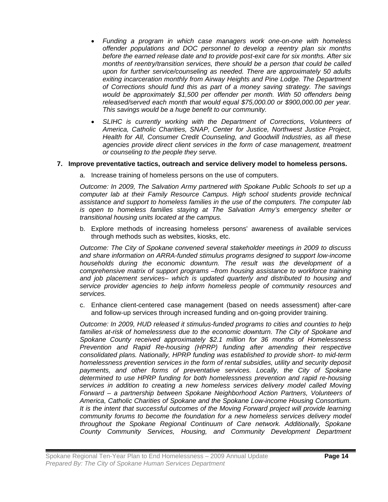- *Funding a program in which case managers work one-on-one with homeless offender populations and DOC personnel to develop a reentry plan six months before the earned release date and to provide post-exit care for six months. After six months of reentry/transition services, there should be a person that could be called upon for further service/counseling as needed. There are approximately 50 adults exiting incarceration monthly from Airway Heights and Pine Lodge. The Department of Corrections should fund this as part of a money saving strategy. The savings would be approximately \$1,500 per offender per month. With 50 offenders being released/served each month that would equal \$75,000.00 or \$900,000.00 per year. This savings would be a huge benefit to our community.*
- *SLIHC is currently working with the Department of Corrections, Volunteers of America, Catholic Charities, SNAP, Center for Justice, Northwest Justice Project, Health for All, Consumer Credit Counseling, and Goodwill Industries, as all these agencies provide direct client services in the form of case management, treatment or counseling to the people they serve.*

## **7. Improve preventative tactics, outreach and service delivery model to homeless persons.**

a. Increase training of homeless persons on the use of computers.

*Outcome: In 2009, The Salvation Army partnered with Spokane Public Schools to set up a computer lab at their Family Resource Campus. High school students provide technical assistance and support to homeless families in the use of the computers. The computer lab is open to homeless families staying at The Salvation Army's emergency shelter or transitional housing units located at the campus.* 

b. Explore methods of increasing homeless persons' awareness of available services through methods such as websites, kiosks, etc.

*Outcome: The City of Spokane convened several stakeholder meetings in 2009 to discuss and share information on ARRA-funded stimulus programs designed to support low-income households during the economic downturn. The result was the development of a comprehensive matrix of support programs –from housing assistance to workforce training and job placement services– which is updated quarterly and distributed to housing and service provider agencies to help inform homeless people of community resources and services.* 

c. Enhance client-centered case management (based on needs assessment) after-care and follow-up services through increased funding and on-going provider training.

*Outcome: In 2009, HUD released it stimulus-funded programs to cities and counties to help*  families at-risk of homelessness due to the economic downturn. The City of Spokane and *Spokane County received approximately \$2.1 million for 36 months of Homelessness Prevention and Rapid Re-housing (HPRP) funding after amending their respective consolidated plans. Nationally, HPRP funding was established to provide short- to mid-term homelessness prevention services in the form of rental subsidies, utility and security deposit payments, and other forms of preventative services. Locally, the City of Spokane determined to use HPRP funding for both homelessness prevention and rapid re-housing services in addition to creating a new homeless services delivery model called Moving Forward – a partnership between Spokane Neighborhood Action Partners, Volunteers of America, Catholic Charities of Spokane and the Spokane Low-income Housing Consortium. It is the intent that successful outcomes of the Moving Forward project will provide learning community forums to become the foundation for a new homeless services delivery model throughout the Spokane Regional Continuum of Care network. Additionally, Spokane County Community Services, Housing, and Community Development Department*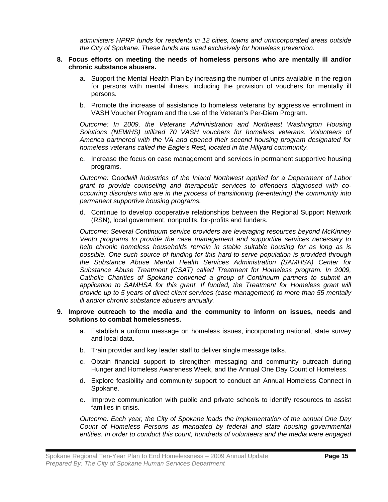*administers HPRP funds for residents in 12 cities, towns and unincorporated areas outside the City of Spokane. These funds are used exclusively for homeless prevention.* 

#### **8. Focus efforts on meeting the needs of homeless persons who are mentally ill and/or chronic substance abusers.**

- a. Support the Mental Health Plan by increasing the number of units available in the region for persons with mental illness, including the provision of vouchers for mentally ill persons.
- b. Promote the increase of assistance to homeless veterans by aggressive enrollment in VASH Voucher Program and the use of the Veteran's Per-Diem Program.

*Outcome: In 2009, the Veterans Administration and Northeast Washington Housing Solutions (NEWHS) utilized 70 VASH vouchers for homeless veterans. Volunteers of America partnered with the VA and opened their second housing program designated for homeless veterans called the Eagle's Rest, located in the Hillyard community.* 

c. Increase the focus on case management and services in permanent supportive housing programs.

*Outcome:* G*oodwill Industries of the Inland Northwest applied for a Department of Labor grant to provide counseling and therapeutic services to offenders diagnosed with cooccurring disorders who are in the process of transitioning (re-entering) the community into permanent supportive housing programs.*

d. Continue to develop cooperative relationships between the Regional Support Network (RSN), local government, nonprofits, for-profits and funders.

*Outcome: Several Continuum service providers are leveraging resources beyond McKinney Vento programs to provide the case management and supportive services necessary to help chronic homeless households remain in stable suitable housing for as long as is possible. One such source of funding for this hard-to-serve population is provided through the Substance Abuse Mental Health Services Administration (SAMHSA) Center for Substance Abuse Treatment (CSAT) called Treatment for Homeless program. In 2009, Catholic Charities of Spokane convened a group of Continuum partners to submit an*  application to SAMHSA for this grant. If funded, the Treatment for Homeless grant will *provide up to 5 years of direct client services (case management) to more than 55 mentally ill and/or chronic substance abusers annually.*

#### **9. Improve outreach to the media and the community to inform on issues, needs and solutions to combat homelessness.**

- a. Establish a uniform message on homeless issues, incorporating national, state survey and local data.
- b. Train provider and key leader staff to deliver single message talks.
- c. Obtain financial support to strengthen messaging and community outreach during Hunger and Homeless Awareness Week, and the Annual One Day Count of Homeless.
- d. Explore feasibility and community support to conduct an Annual Homeless Connect in Spokane.
- e. Improve communication with public and private schools to identify resources to assist families in crisis.

*Outcome: Each year, the City of Spokane leads the implementation of the annual One Day Count of Homeless Persons as mandated by federal and state housing governmental entities. In order to conduct this count, hundreds of volunteers and the media were engaged*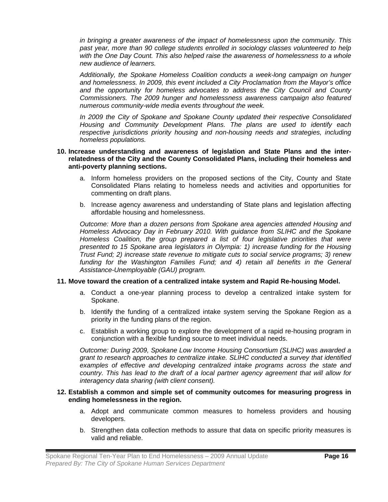*in bringing a greater awareness of the impact of homelessness upon the community. This past year, more than 90 college students enrolled in sociology classes volunteered to help with the One Day Count. This also helped raise the awareness of homelessness to a whole new audience of learners.* 

*Additionally, the Spokane Homeless Coalition conducts a week-long campaign on hunger and homelessness. In 2009, this event included a City Proclamation from the Mayor's office and the opportunity for homeless advocates to address the City Council and County Commissioners. The 2009 hunger and homelessness awareness campaign also featured numerous community-wide media events throughout the week.* 

*In 2009 the City of Spokane and Spokane County updated their respective Consolidated Housing and Community Development Plans. The plans are used to identify each respective jurisdictions priority housing and non-housing needs and strategies, including homeless populations.* 

#### **10. Increase understanding and awareness of legislation and State Plans and the interrelatedness of the City and the County Consolidated Plans, including their homeless and anti-poverty planning sections.**

- a. Inform homeless providers on the proposed sections of the City, County and State Consolidated Plans relating to homeless needs and activities and opportunities for commenting on draft plans.
- b. Increase agency awareness and understanding of State plans and legislation affecting affordable housing and homelessness.

*Outcome: More than a dozen persons from Spokane area agencies attended Housing and Homeless Advocacy Day in February 2010. With guidance from SLIHC and the Spokane Homeless Coalition, the group prepared a list of four legislative priorities that were presented to 15 Spokane area legislators in Olympia: 1) increase funding for the Housing Trust Fund; 2) increase state revenue to mitigate cuts to social service programs; 3) renew*  funding for the Washington Families Fund; and 4) retain all benefits in the General *Assistance-Unemployable (GAU) program.* 

## **11. Move toward the creation of a centralized intake system and Rapid Re-housing Model.**

- a. Conduct a one-year planning process to develop a centralized intake system for Spokane.
- b. Identify the funding of a centralized intake system serving the Spokane Region as a priority in the funding plans of the region.
- c. Establish a working group to explore the development of a rapid re-housing program in conjunction with a flexible funding source to meet individual needs.

*Outcome: During 2009, Spokane Low Income Housing Consortium (SLIHC) was awarded a grant to research approaches to centralize intake. SLIHC conducted a survey that identified examples of effective and developing centralized intake programs across the state and country. This has lead to the draft of a local partner agency agreement that will allow for interagency data sharing (with client consent).* 

## **12. Establish a common and simple set of community outcomes for measuring progress in ending homelessness in the region.**

- a. Adopt and communicate common measures to homeless providers and housing developers.
- b. Strengthen data collection methods to assure that data on specific priority measures is valid and reliable.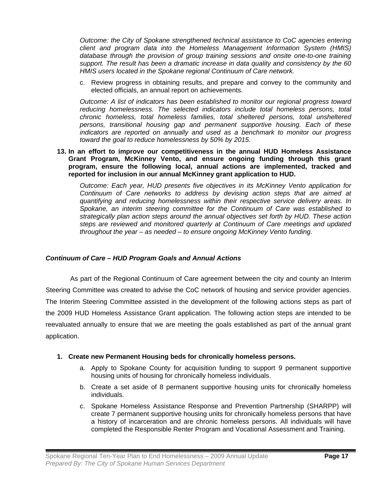*Outcome: the City of Spokane strengthened technical assistance to CoC agencies entering client and program data into the Homeless Management Information System (HMIS) database through the provision of group training sessions and onsite one-to-one training support. The result has been a dramatic increase in data quality and consistency by the 60 HMIS users located in the Spokane regional Continuum of Care network.* 

c. Review progress in obtaining results, and prepare and convey to the community and elected officials, an annual report on achievements.

*Outcome: A list of indicators has been established to monitor our regional progress toward reducing homelessness. The selected indicators include total homeless persons, total chronic homeless, total homeless families, total sheltered persons, total unsheltered persons, transitional housing gap and permanent supportive housing. Each of these indicators are reported on annually and used as a benchmark to monitor our progress toward the goal to reduce homelessness by 50% by 2015.*

**13. In an effort to improve our competitiveness in the annual HUD Homeless Assistance Grant Program, McKinney Vento, and ensure ongoing funding through this grant program, ensure the following local, annual actions are implemented, tracked and reported for inclusion in our annual McKinney grant application to HUD.**

*Outcome: Each year, HUD presents five objectives in its McKinney Vento application for Continuum of Care networks to address by devising action steps that are aimed at quantifying and reducing homelessness within their respective service delivery areas. In Spokane, an interim steering committee for the Continuum of Care was established to strategically plan action steps around the annual objectives set forth by HUD. These action steps are reviewed and monitored quarterly at Continuum of Care meetings and updated throughout the year – as needed – to ensure ongoing McKinney Vento funding.*

## *Continuum of Care – HUD Program Goals and Annual Actions*

 As part of the Regional Continuum of Care agreement between the city and county an Interim Steering Committee was created to advise the CoC network of housing and service provider agencies. The Interim Steering Committee assisted in the development of the following actions steps as part of the 2009 HUD Homeless Assistance Grant application. The following action steps are intended to be reevaluated annually to ensure that we are meeting the goals established as part of the annual grant application.

## **1. Create new Permanent Housing beds for chronically homeless persons.**

- a. Apply to Spokane County for acquisition funding to support 9 permanent supportive housing units of housing for chronically homeless individuals.
- b. Create a set aside of 8 permanent supportive housing units for chronically homeless individuals.
- c. Spokane Homeless Assistance Response and Prevention Partnership (SHARPP) will create 7 permanent supportive housing units for chronically homeless persons that have a history of incarceration and are chronic homeless persons. All individuals will have completed the Responsible Renter Program and Vocational Assessment and Training.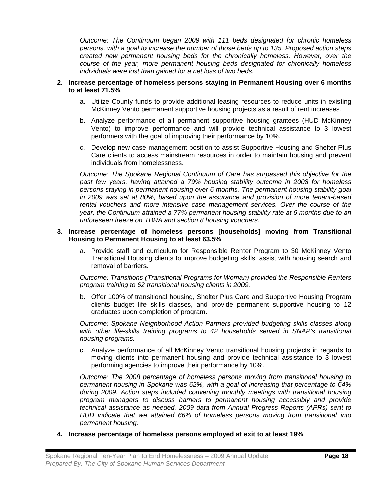*Outcome: The Continuum began 2009 with 111 beds designated for chronic homeless persons, with a goal to increase the number of those beds up to 135. Proposed action steps created new permanent housing beds for the chronically homeless. However, over the course of the year, more permanent housing beds designated for chronically homeless individuals were lost than gained for a net loss of two beds.* 

#### **2. Increase percentage of homeless persons staying in Permanent Housing over 6 months to at least 71.5%**.

- a. Utilize County funds to provide additional leasing resources to reduce units in existing McKinney Vento permanent supportive housing projects as a result of rent increases.
- b. Analyze performance of all permanent supportive housing grantees (HUD McKinney Vento) to improve performance and will provide technical assistance to 3 lowest performers with the goal of improving their performance by 10%.
- c. Develop new case management position to assist Supportive Housing and Shelter Plus Care clients to access mainstream resources in order to maintain housing and prevent individuals from homelessness.

*Outcome: The Spokane Regional Continuum of Care has surpassed this objective for the past few years, having attained a 79% housing stability outcome in 2008 for homeless persons staying in permanent housing over 6 months. The permanent housing stability goal in 2009 was set at 80%, based upon the assurance and provision of more tenant-based rental vouchers and more intensive case management services. Over the course of the year, the Continuum attained a 77% permanent housing stability rate at 6 months due to an unforeseen freeze on TBRA and section 8 housing vouchers.*

#### **3. Increase percentage of homeless persons [households] moving from Transitional Housing to Permanent Housing to at least 63.5%**.

a. Provide staff and curriculum for Responsible Renter Program to 30 McKinney Vento Transitional Housing clients to improve budgeting skills, assist with housing search and removal of barriers.

*Outcome: Transitions (Transitional Programs for Woman) provided the Responsible Renters program training to 62 transitional housing clients in 2009.* 

b. Offer 100% of transitional housing, Shelter Plus Care and Supportive Housing Program clients budget life skills classes, and provide permanent supportive housing to 12 graduates upon completion of program.

*Outcome: Spokane Neighborhood Action Partners provided budgeting skills classes along with other life-skills training programs to 42 households served in SNAP's transitional housing programs.* 

c. Analyze performance of all McKinney Vento transitional housing projects in regards to moving clients into permanent housing and provide technical assistance to 3 lowest performing agencies to improve their performance by 10%.

*Outcome: The 2008 percentage of homeless persons moving from transitional housing to permanent housing in Spokane was 62%, with a goal of increasing that percentage to 64% during 2009. Action steps included convening monthly meetings with transitional housing program managers to discuss barriers to permanent housing accessibly and provide technical assistance as needed. 2009 data from Annual Progress Reports (APRs) sent to HUD indicate that we attained 66% of homeless persons moving from transitional into permanent housing.*

**4. Increase percentage of homeless persons employed at exit to at least 19%**.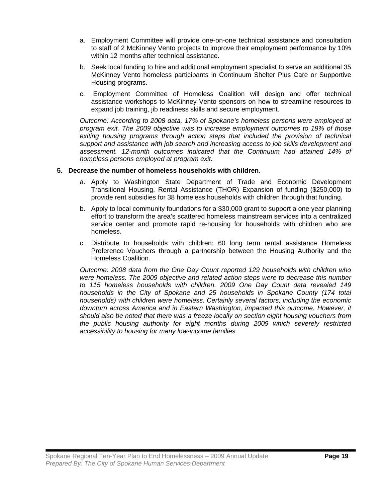- a. Employment Committee will provide one-on-one technical assistance and consultation to staff of 2 McKinney Vento projects to improve their employment performance by 10% within 12 months after technical assistance.
- b. Seek local funding to hire and additional employment specialist to serve an additional 35 McKinney Vento homeless participants in Continuum Shelter Plus Care or Supportive Housing programs.
- c. Employment Committee of Homeless Coalition will design and offer technical assistance workshops to McKinney Vento sponsors on how to streamline resources to expand job training, jib readiness skills and secure employment.

*Outcome: According to 2008 data, 17% of Spokane's homeless persons were employed at program exit. The 2009 objective was to increase employment outcomes to 19% of those exiting housing programs through action steps that included the provision of technical support and assistance with job search and increasing access to job skills development and assessment. 12-month outcomes indicated that the Continuum had attained 14% of homeless persons employed at program exit.* 

## **5. Decrease the number of homeless households with children**.

- a. Apply to Washington State Department of Trade and Economic Development Transitional Housing, Rental Assistance (THOR) Expansion of funding (\$250,000) to provide rent subsidies for 38 homeless households with children through that funding.
- b. Apply to local community foundations for a \$30,000 grant to support a one year planning effort to transform the area's scattered homeless mainstream services into a centralized service center and promote rapid re-housing for households with children who are homeless.
- c. Distribute to households with children: 60 long term rental assistance Homeless Preference Vouchers through a partnership between the Housing Authority and the Homeless Coalition.

*Outcome: 2008 data from the One Day Count reported 129 households with children who were homeless. The 2009 objective and related action steps were to decrease this number to 115 homeless households with children. 2009 One Day Count data revealed 149 households in the City of Spokane and 25 households in Spokane County (174 total households) with children were homeless. Certainly several factors, including the economic downturn across America and in Eastern Washington, impacted this outcome. However, it should also be noted that there was a freeze locally on section eight housing vouchers from the public housing authority for eight months during 2009 which severely restricted accessibility to housing for many low-income families.*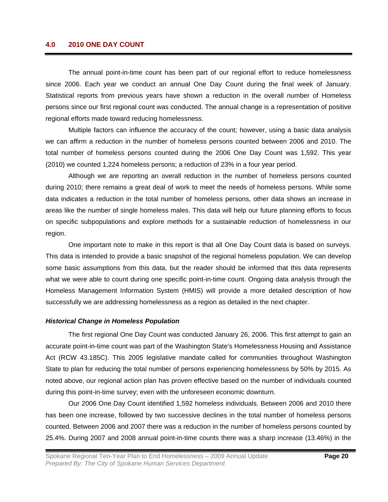## **4.0 2010 ONE DAY COUNT**

The annual point-in-time count has been part of our regional effort to reduce homelessness since 2006. Each year we conduct an annual One Day Count during the final week of January. Statistical reports from previous years have shown a reduction in the overall number of Homeless persons since our first regional count was conducted. The annual change is a representation of positive regional efforts made toward reducing homelessness.

 Multiple factors can influence the accuracy of the count; however, using a basic data analysis we can affirm a reduction in the number of homeless persons counted between 2006 and 2010. The total number of homeless persons counted during the 2006 One Day Count was 1,592. This year (2010) we counted 1,224 homeless persons; a reduction of 23% in a four year period.

 Although we are reporting an overall reduction in the number of homeless persons counted during 2010; there remains a great deal of work to meet the needs of homeless persons. While some data indicates a reduction in the total number of homeless persons, other data shows an increase in areas like the number of single homeless males. This data will help our future planning efforts to focus on specific subpopulations and explore methods for a sustainable reduction of homelessness in our region.

 One important note to make in this report is that all One Day Count data is based on surveys. This data is intended to provide a basic snapshot of the regional homeless population. We can develop some basic assumptions from this data, but the reader should be informed that this data represents what we were able to count during one specific point-in-time count. Ongoing data analysis through the Homeless Management Information System (HMIS) will provide a more detailed description of how successfully we are addressing homelessness as a region as detailed in the next chapter.

#### *Historical Change in Homeless Population*

 The first regional One Day Count was conducted January 26, 2006. This first attempt to gain an accurate point-in-time count was part of the Washington State's Homelessness Housing and Assistance Act (RCW 43.185C). This 2005 legislative mandate called for communities throughout Washington State to plan for reducing the total number of persons experiencing homelessness by 50% by 2015. As noted above, our regional action plan has proven effective based on the number of individuals counted during this point-in-time survey; even with the unforeseen economic downturn.

 Our 2006 One Day Count identified 1,592 homeless individuals. Between 2006 and 2010 there has been one increase, followed by two successive declines in the total number of homeless persons counted. Between 2006 and 2007 there was a reduction in the number of homeless persons counted by 25.4%. During 2007 and 2008 annual point-in-time counts there was a sharp increase (13.46%) in the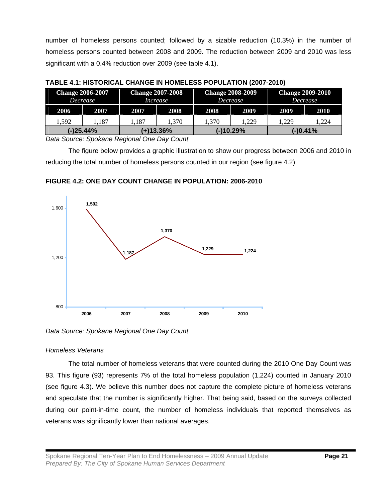number of homeless persons counted; followed by a sizable reduction (10.3%) in the number of homeless persons counted between 2008 and 2009. The reduction between 2009 and 2010 was less significant with a 0.4% reduction over 2009 (see table 4.1).

|             | <b>Change 2007-2008</b><br><b>Change 2008-2009</b><br><b>Change 2006-2007</b><br>Decrease<br><i>Decrease</i><br>Increase |      | <b>Change 2009-2010</b><br><i>Decrease</i> |       |           |      |          |
|-------------|--------------------------------------------------------------------------------------------------------------------------|------|--------------------------------------------|-------|-----------|------|----------|
| 2006        | 2007                                                                                                                     | 2007 | 2008                                       | 2008  | 2009      | 2009 | 2010     |
| 1.592       | .187                                                                                                                     | 187  | .370                                       | 1.370 | .229      | .229 | 1.224    |
| $(-)25.44%$ |                                                                                                                          |      | $(+)13.36\%$                               |       | (-)10.29% |      | (-)0.41% |

**TABLE 4.1: HISTORICAL CHANGE IN HOMELESS POPULATION (2007-2010)** 

*Data Source: Spokane Regional One Day Count* 

The figure below provides a graphic illustration to show our progress between 2006 and 2010 in reducing the total number of homeless persons counted in our region (see figure 4.2).





*Data Source: Spokane Regional One Day Count* 

## *Homeless Veterans*

The total number of homeless veterans that were counted during the 2010 One Day Count was 93. This figure (93) represents 7% of the total homeless population (1,224) counted in January 2010 (see figure 4.3). We believe this number does not capture the complete picture of homeless veterans and speculate that the number is significantly higher. That being said, based on the surveys collected during our point-in-time count, the number of homeless individuals that reported themselves as veterans was significantly lower than national averages.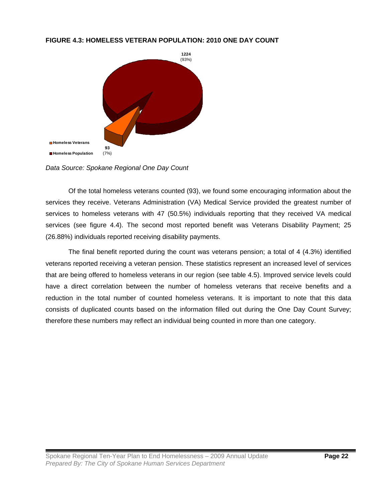## **FIGURE 4.3: HOMELESS VETERAN POPULATION: 2010 ONE DAY COUNT**



*Data Source: Spokane Regional One Day Count* 

Of the total homeless veterans counted (93), we found some encouraging information about the services they receive. Veterans Administration (VA) Medical Service provided the greatest number of services to homeless veterans with 47 (50.5%) individuals reporting that they received VA medical services (see figure 4.4). The second most reported benefit was Veterans Disability Payment; 25 (26.88%) individuals reported receiving disability payments.

The final benefit reported during the count was veterans pension; a total of 4 (4.3%) identified veterans reported receiving a veteran pension. These statistics represent an increased level of services that are being offered to homeless veterans in our region (see table 4.5). Improved service levels could have a direct correlation between the number of homeless veterans that receive benefits and a reduction in the total number of counted homeless veterans. It is important to note that this data consists of duplicated counts based on the information filled out during the One Day Count Survey; therefore these numbers may reflect an individual being counted in more than one category.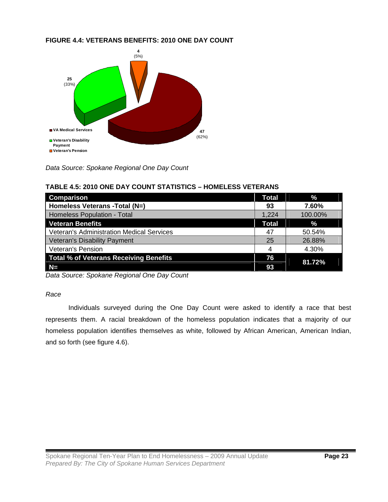## **FIGURE 4.4: VETERANS BENEFITS: 2010 ONE DAY COUNT**



*Data Source: Spokane Regional One Day Count* 

| <b>Comparison</b>                                | <b>Total</b> | $\%$    |
|--------------------------------------------------|--------------|---------|
| Homeless Veterans - Total (N=)                   | 93           | 7.60%   |
| Homeless Population - Total                      | 1,224        | 100.00% |
| <b>Veteran Benefits</b>                          | <b>Total</b> | $\%$    |
| <b>Veteran's Administration Medical Services</b> | 47           | 50.54%  |
| Veteran's Disability Payment                     | 25           | 26.88%  |
| Veteran's Pension                                | 4            | 4.30%   |
| <b>Total % of Veterans Receiving Benefits</b>    | 76           | 81.72%  |
| $N=$                                             | 93           |         |

## **TABLE 4.5: 2010 ONE DAY COUNT STATISTICS – HOMELESS VETERANS**

*Data Source: Spokane Regional One Day Count* 

## *Race*

Individuals surveyed during the One Day Count were asked to identify a race that best represents them. A racial breakdown of the homeless population indicates that a majority of our homeless population identifies themselves as white, followed by African American, American Indian, and so forth (see figure 4.6).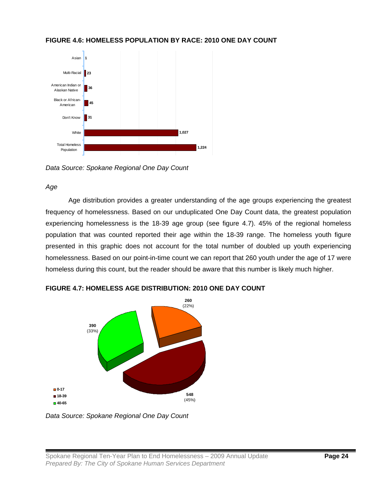

## **FIGURE 4.6: HOMELESS POPULATION BY RACE: 2010 ONE DAY COUNT**

*Data Source: Spokane Regional One Day Count* 

## *Age*

Age distribution provides a greater understanding of the age groups experiencing the greatest frequency of homelessness. Based on our unduplicated One Day Count data, the greatest population experiencing homelessness is the 18-39 age group (see figure 4.7). 45% of the regional homeless population that was counted reported their age within the 18-39 range. The homeless youth figure presented in this graphic does not account for the total number of doubled up youth experiencing homelessness. Based on our point-in-time count we can report that 260 youth under the age of 17 were homeless during this count, but the reader should be aware that this number is likely much higher.



**FIGURE 4.7: HOMELESS AGE DISTRIBUTION: 2010 ONE DAY COUNT** 

*Data Source: Spokane Regional One Day Count*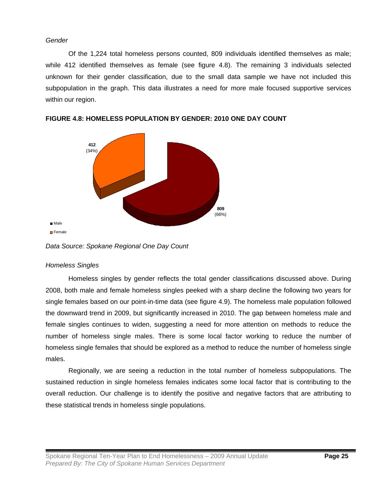## *Gender*

 Of the 1,224 total homeless persons counted, 809 individuals identified themselves as male; while 412 identified themselves as female (see figure 4.8). The remaining 3 individuals selected unknown for their gender classification, due to the small data sample we have not included this subpopulation in the graph. This data illustrates a need for more male focused supportive services within our region.



**FIGURE 4.8: HOMELESS POPULATION BY GENDER: 2010 ONE DAY COUNT** 

## *Homeless Singles*

 Homeless singles by gender reflects the total gender classifications discussed above. During 2008, both male and female homeless singles peeked with a sharp decline the following two years for single females based on our point-in-time data (see figure 4.9). The homeless male population followed the downward trend in 2009, but significantly increased in 2010. The gap between homeless male and female singles continues to widen, suggesting a need for more attention on methods to reduce the number of homeless single males. There is some local factor working to reduce the number of homeless single females that should be explored as a method to reduce the number of homeless single males.

 Regionally, we are seeing a reduction in the total number of homeless subpopulations. The sustained reduction in single homeless females indicates some local factor that is contributing to the overall reduction. Our challenge is to identify the positive and negative factors that are attributing to these statistical trends in homeless single populations.

*Data Source: Spokane Regional One Day Count*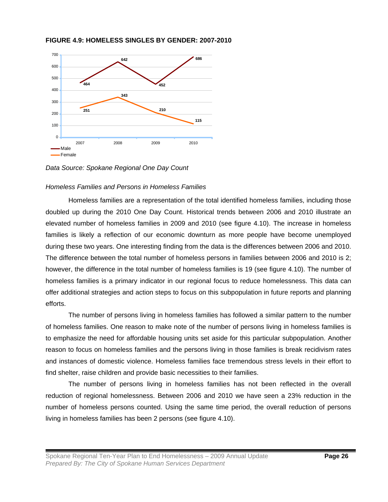#### **FIGURE 4.9: HOMELESS SINGLES BY GENDER: 2007-2010**



*Data Source: Spokane Regional One Day Count* 

## *Homeless Families and Persons in Homeless Families*

 Homeless families are a representation of the total identified homeless families, including those doubled up during the 2010 One Day Count. Historical trends between 2006 and 2010 illustrate an elevated number of homeless families in 2009 and 2010 (see figure 4.10). The increase in homeless families is likely a reflection of our economic downturn as more people have become unemployed during these two years. One interesting finding from the data is the differences between 2006 and 2010. The difference between the total number of homeless persons in families between 2006 and 2010 is 2; however, the difference in the total number of homeless families is 19 (see figure 4.10). The number of homeless families is a primary indicator in our regional focus to reduce homelessness. This data can offer additional strategies and action steps to focus on this subpopulation in future reports and planning efforts.

The number of persons living in homeless families has followed a similar pattern to the number of homeless families. One reason to make note of the number of persons living in homeless families is to emphasize the need for affordable housing units set aside for this particular subpopulation. Another reason to focus on homeless families and the persons living in those families is break recidivism rates and instances of domestic violence. Homeless families face tremendous stress levels in their effort to find shelter, raise children and provide basic necessities to their families.

The number of persons living in homeless families has not been reflected in the overall reduction of regional homelessness. Between 2006 and 2010 we have seen a 23% reduction in the number of homeless persons counted. Using the same time period, the overall reduction of persons living in homeless families has been 2 persons (see figure 4.10).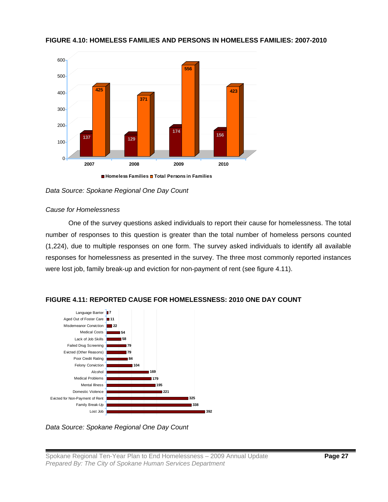

## **FIGURE 4.10: HOMELESS FAMILIES AND PERSONS IN HOMELESS FAMILIES: 2007-2010**

**Homeless Families Total Persons in Families**

*Data Source: Spokane Regional One Day Count* 

## *Cause for Homelessness*

 One of the survey questions asked individuals to report their cause for homelessness. The total number of responses to this question is greater than the total number of homeless persons counted (1,224), due to multiple responses on one form. The survey asked individuals to identify all available responses for homelessness as presented in the survey. The three most commonly reported instances were lost job, family break-up and eviction for non-payment of rent (see figure 4.11).



## **FIGURE 4.11: REPORTED CAUSE FOR HOMELESSNESS: 2010 ONE DAY COUNT**

*Data Source: Spokane Regional One Day Count*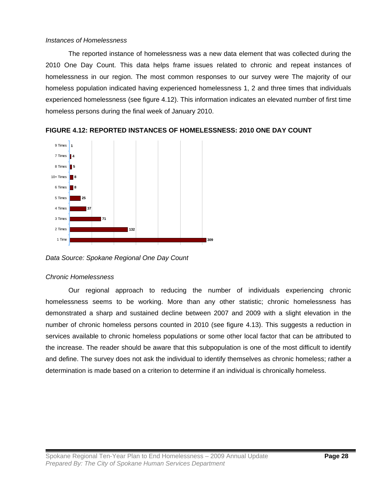## *Instances of Homelessness*

 The reported instance of homelessness was a new data element that was collected during the 2010 One Day Count. This data helps frame issues related to chronic and repeat instances of homelessness in our region. The most common responses to our survey were The majority of our homeless population indicated having experienced homelessness 1, 2 and three times that individuals experienced homelessness (see figure 4.12). This information indicates an elevated number of first time homeless persons during the final week of January 2010.



**FIGURE 4.12: REPORTED INSTANCES OF HOMELESSNESS: 2010 ONE DAY COUNT** 

*Data Source: Spokane Regional One Day Count* 

## *Chronic Homelessness*

 Our regional approach to reducing the number of individuals experiencing chronic homelessness seems to be working. More than any other statistic; chronic homelessness has demonstrated a sharp and sustained decline between 2007 and 2009 with a slight elevation in the number of chronic homeless persons counted in 2010 (see figure 4.13). This suggests a reduction in services available to chronic homeless populations or some other local factor that can be attributed to the increase. The reader should be aware that this subpopulation is one of the most difficult to identify and define. The survey does not ask the individual to identify themselves as chronic homeless; rather a determination is made based on a criterion to determine if an individual is chronically homeless.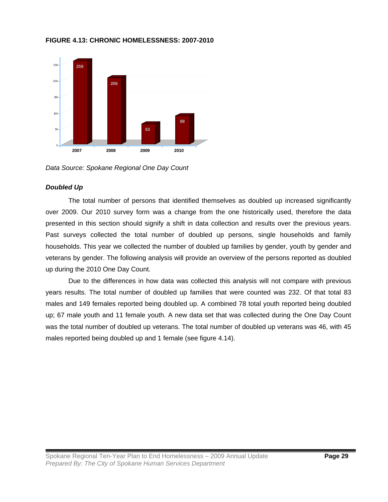

## **FIGURE 4.13: CHRONIC HOMELESSNESS: 2007-2010**

*Data Source: Spokane Regional One Day Count* 

## *Doubled Up*

 The total number of persons that identified themselves as doubled up increased significantly over 2009. Our 2010 survey form was a change from the one historically used, therefore the data presented in this section should signify a shift in data collection and results over the previous years. Past surveys collected the total number of doubled up persons, single households and family households. This year we collected the number of doubled up families by gender, youth by gender and veterans by gender. The following analysis will provide an overview of the persons reported as doubled up during the 2010 One Day Count.

 Due to the differences in how data was collected this analysis will not compare with previous years results. The total number of doubled up families that were counted was 232. Of that total 83 males and 149 females reported being doubled up. A combined 78 total youth reported being doubled up; 67 male youth and 11 female youth. A new data set that was collected during the One Day Count was the total number of doubled up veterans. The total number of doubled up veterans was 46, with 45 males reported being doubled up and 1 female (see figure 4.14).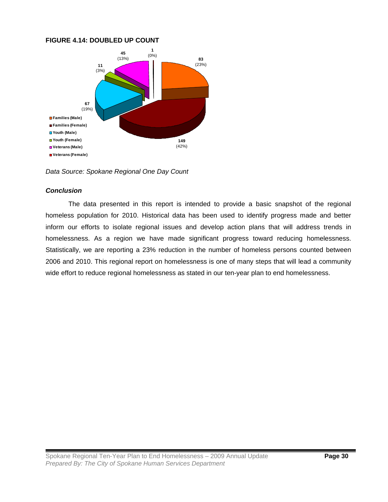## **FIGURE 4.14: DOUBLED UP COUNT**



*Data Source: Spokane Regional One Day Count* 

## *Conclusion*

 The data presented in this report is intended to provide a basic snapshot of the regional homeless population for 2010. Historical data has been used to identify progress made and better inform our efforts to isolate regional issues and develop action plans that will address trends in homelessness. As a region we have made significant progress toward reducing homelessness. Statistically, we are reporting a 23% reduction in the number of homeless persons counted between 2006 and 2010. This regional report on homelessness is one of many steps that will lead a community wide effort to reduce regional homelessness as stated in our ten-year plan to end homelessness.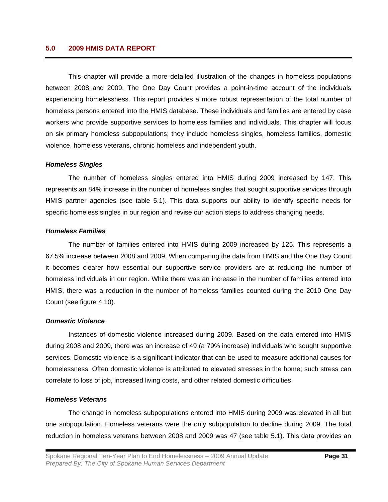## **5.0 2009 HMIS DATA REPORT**

This chapter will provide a more detailed illustration of the changes in homeless populations between 2008 and 2009. The One Day Count provides a point-in-time account of the individuals experiencing homelessness. This report provides a more robust representation of the total number of homeless persons entered into the HMIS database. These individuals and families are entered by case workers who provide supportive services to homeless families and individuals. This chapter will focus on six primary homeless subpopulations; they include homeless singles, homeless families, domestic violence, homeless veterans, chronic homeless and independent youth.

#### *Homeless Singles*

 The number of homeless singles entered into HMIS during 2009 increased by 147. This represents an 84% increase in the number of homeless singles that sought supportive services through HMIS partner agencies (see table 5.1). This data supports our ability to identify specific needs for specific homeless singles in our region and revise our action steps to address changing needs.

#### *Homeless Families*

 The number of families entered into HMIS during 2009 increased by 125. This represents a 67.5% increase between 2008 and 2009. When comparing the data from HMIS and the One Day Count it becomes clearer how essential our supportive service providers are at reducing the number of homeless individuals in our region. While there was an increase in the number of families entered into HMIS, there was a reduction in the number of homeless families counted during the 2010 One Day Count (see figure 4.10).

## *Domestic Violence*

 Instances of domestic violence increased during 2009. Based on the data entered into HMIS during 2008 and 2009, there was an increase of 49 (a 79% increase) individuals who sought supportive services. Domestic violence is a significant indicator that can be used to measure additional causes for homelessness. Often domestic violence is attributed to elevated stresses in the home; such stress can correlate to loss of job, increased living costs, and other related domestic difficulties.

## *Homeless Veterans*

 The change in homeless subpopulations entered into HMIS during 2009 was elevated in all but one subpopulation. Homeless veterans were the only subpopulation to decline during 2009. The total reduction in homeless veterans between 2008 and 2009 was 47 (see table 5.1). This data provides an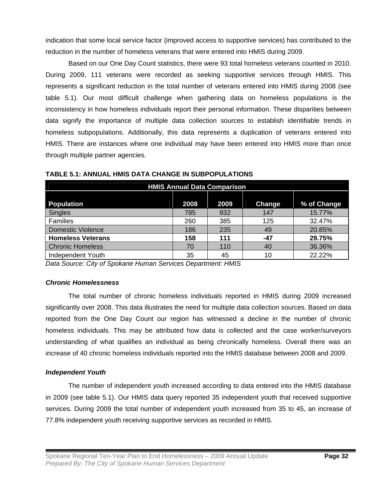indication that some local service factor (improved access to supportive services) has contributed to the reduction in the number of homeless veterans that were entered into HMIS during 2009.

Based on our One Day Count statistics, there were 93 total homeless veterans counted in 2010. During 2009, 111 veterans were recorded as seeking supportive services through HMIS. This represents a significant reduction in the total number of veterans entered into HMIS during 2008 (see table 5.1). Our most difficult challenge when gathering data on homeless populations is the inconsistency in how homeless individuals report their personal information. These disparities between data signify the importance of multiple data collection sources to establish identifiable trends in homeless subpopulations. Additionally, this data represents a duplication of veterans entered into HMIS. There are instances where one individual may have been entered into HMIS more than once through multiple partner agencies.

| <b>HMIS Annual Data Comparison</b> |      |      |        |             |  |  |  |  |  |
|------------------------------------|------|------|--------|-------------|--|--|--|--|--|
|                                    |      |      |        |             |  |  |  |  |  |
| Population                         | 2008 | 2009 | Change | % of Change |  |  |  |  |  |
| Singles                            | 785  | 932  | 147    | 15.77%      |  |  |  |  |  |
| Families                           | 260  | 385  | 125    | 32.47%      |  |  |  |  |  |
| <b>Domestic Violence</b>           | 186  | 235  | 49     | 20.85%      |  |  |  |  |  |
| <b>Homeless Veterans</b>           | 158  | 111  | -47    | 29.75%      |  |  |  |  |  |
| <b>Chronic Homeless</b>            | 70   | 110  | 40     | 36.36%      |  |  |  |  |  |
| Independent Youth                  | 35   | 45   | 10     | 22.22%      |  |  |  |  |  |

**TABLE 5.1: ANNUAL HMIS DATA CHANGE IN SUBPOPULATIONS** 

*Data Source: City of Spokane Human Services Department: HMIS* 

## *Chronic Homelessness*

 The total number of chronic homeless individuals reported in HMIS during 2009 increased significantly over 2008. This data illustrates the need for multiple data collection sources. Based on data reported from the One Day Count our region has witnessed a decline in the number of chronic homeless individuals. This may be attributed how data is collected and the case worker/surveyors understanding of what qualifies an individual as being chronically homeless. Overall there was an increase of 40 chronic homeless individuals reported into the HMIS database between 2008 and 2009.

## *Independent Youth*

 The number of independent youth increased according to data entered into the HMIS database in 2009 (see table 5.1). Our HMIS data query reported 35 independent youth that received supportive services. During 2009 the total number of independent youth increased from 35 to 45, an increase of 77.8% independent youth receiving supportive services as recorded in HMIS.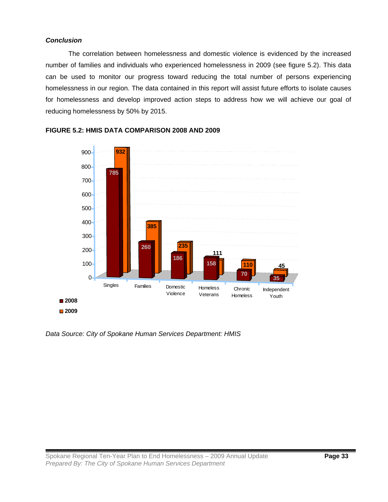## *Conclusion*

 The correlation between homelessness and domestic violence is evidenced by the increased number of families and individuals who experienced homelessness in 2009 (see figure 5.2). This data can be used to monitor our progress toward reducing the total number of persons experiencing homelessness in our region. The data contained in this report will assist future efforts to isolate causes for homelessness and develop improved action steps to address how we will achieve our goal of reducing homelessness by 50% by 2015.



## **FIGURE 5.2: HMIS DATA COMPARISON 2008 AND 2009**

*Data Source: City of Spokane Human Services Department: HMIS*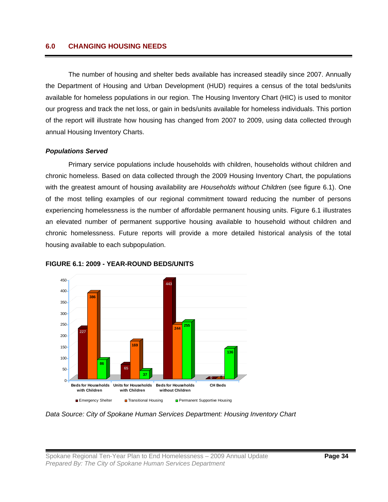## **6.0 CHANGING HOUSING NEEDS**

The number of housing and shelter beds available has increased steadily since 2007. Annually the Department of Housing and Urban Development (HUD) requires a census of the total beds/units available for homeless populations in our region. The Housing Inventory Chart (HIC) is used to monitor our progress and track the net loss, or gain in beds/units available for homeless individuals. This portion of the report will illustrate how housing has changed from 2007 to 2009, using data collected through annual Housing Inventory Charts.

#### *Populations Served*

 Primary service populations include households with children, households without children and chronic homeless. Based on data collected through the 2009 Housing Inventory Chart, the populations with the greatest amount of housing availability are *Households without Children* (see figure 6.1). One of the most telling examples of our regional commitment toward reducing the number of persons experiencing homelessness is the number of affordable permanent housing units. Figure 6.1 illustrates an elevated number of permanent supportive housing available to household without children and chronic homelessness. Future reports will provide a more detailed historical analysis of the total housing available to each subpopulation.





*Data Source: City of Spokane Human Services Department: Housing Inventory Chart*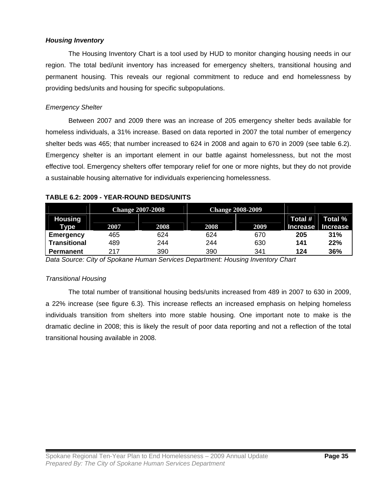## *Housing Inventory*

 The Housing Inventory Chart is a tool used by HUD to monitor changing housing needs in our region. The total bed/unit inventory has increased for emergency shelters, transitional housing and permanent housing. This reveals our regional commitment to reduce and end homelessness by providing beds/units and housing for specific subpopulations.

## *Emergency Shelter*

 Between 2007 and 2009 there was an increase of 205 emergency shelter beds available for homeless individuals, a 31% increase. Based on data reported in 2007 the total number of emergency shelter beds was 465; that number increased to 624 in 2008 and again to 670 in 2009 (see table 6.2). Emergency shelter is an important element in our battle against homelessness, but not the most effective tool. Emergency shelters offer temporary relief for one or more nights, but they do not provide a sustainable housing alternative for individuals experiencing homelessness.

|                               |      | <b>Change 2007-2008</b> | <b>Change 2008-2009</b> |      |                            |                            |
|-------------------------------|------|-------------------------|-------------------------|------|----------------------------|----------------------------|
| <b>Housing</b><br><b>Type</b> | 2007 | 2008                    | 2008                    | 2009 | Total #<br><b>Increase</b> | Total %<br><b>Increase</b> |
| Emergency                     | 465  | 624                     | 624                     | 670  | 205                        | 31%                        |
| <b>Transitional</b>           | 489  | 244                     | 244                     | 630  | 141                        | 22%                        |
| Permanent                     | 217  | 390                     | 390                     | 341  | 124                        | 36%                        |

## **TABLE 6.2: 2009 - YEAR-ROUND BEDS/UNITS**

*Data Source: City of Spokane Human Services Department: Housing Inventory Chart* 

## *Transitional Housing*

 The total number of transitional housing beds/units increased from 489 in 2007 to 630 in 2009, a 22% increase (see figure 6.3). This increase reflects an increased emphasis on helping homeless individuals transition from shelters into more stable housing. One important note to make is the dramatic decline in 2008; this is likely the result of poor data reporting and not a reflection of the total transitional housing available in 2008.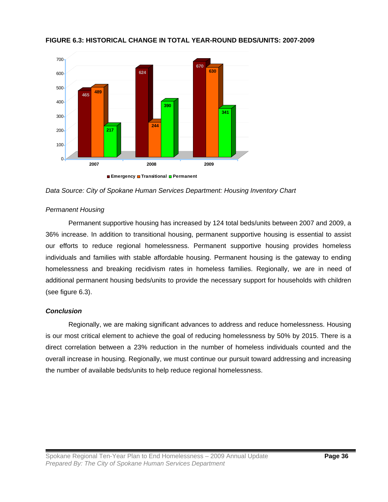

## **FIGURE 6.3: HISTORICAL CHANGE IN TOTAL YEAR-ROUND BEDS/UNITS: 2007-2009**

*Data Source: City of Spokane Human Services Department: Housing Inventory Chart* 

## *Permanent Housing*

 Permanent supportive housing has increased by 124 total beds/units between 2007 and 2009, a 36% increase. In addition to transitional housing, permanent supportive housing is essential to assist our efforts to reduce regional homelessness. Permanent supportive housing provides homeless individuals and families with stable affordable housing. Permanent housing is the gateway to ending homelessness and breaking recidivism rates in homeless families. Regionally, we are in need of additional permanent housing beds/units to provide the necessary support for households with children (see figure 6.3).

## *Conclusion*

 Regionally, we are making significant advances to address and reduce homelessness. Housing is our most critical element to achieve the goal of reducing homelessness by 50% by 2015. There is a direct correlation between a 23% reduction in the number of homeless individuals counted and the overall increase in housing. Regionally, we must continue our pursuit toward addressing and increasing the number of available beds/units to help reduce regional homelessness.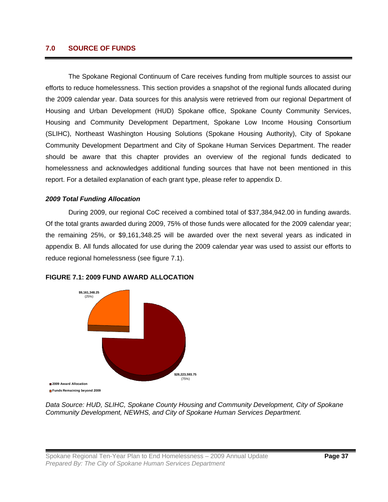## **7.0 SOURCE OF FUNDS**

The Spokane Regional Continuum of Care receives funding from multiple sources to assist our efforts to reduce homelessness. This section provides a snapshot of the regional funds allocated during the 2009 calendar year. Data sources for this analysis were retrieved from our regional Department of Housing and Urban Development (HUD) Spokane office, Spokane County Community Services, Housing and Community Development Department, Spokane Low Income Housing Consortium (SLIHC), Northeast Washington Housing Solutions (Spokane Housing Authority), City of Spokane Community Development Department and City of Spokane Human Services Department. The reader should be aware that this chapter provides an overview of the regional funds dedicated to homelessness and acknowledges additional funding sources that have not been mentioned in this report. For a detailed explanation of each grant type, please refer to appendix D.

## *2009 Total Funding Allocation*

During 2009, our regional CoC received a combined total of \$37,384,942.00 in funding awards. Of the total grants awarded during 2009, 75% of those funds were allocated for the 2009 calendar year; the remaining 25%, or \$9,161,348.25 will be awarded over the next several years as indicated in appendix B. All funds allocated for use during the 2009 calendar year was used to assist our efforts to reduce regional homelessness (see figure 7.1).



#### **FIGURE 7.1: 2009 FUND AWARD ALLOCATION**

*Data Source: HUD, SLIHC, Spokane County Housing and Community Development, City of Spokane Community Development, NEWHS, and City of Spokane Human Services Department.*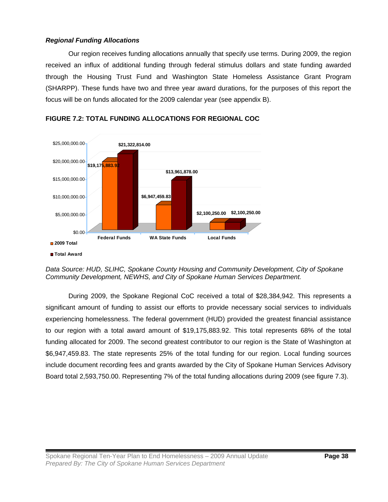## *Regional Funding Allocations*

Our region receives funding allocations annually that specify use terms. During 2009, the region received an influx of additional funding through federal stimulus dollars and state funding awarded through the Housing Trust Fund and Washington State Homeless Assistance Grant Program (SHARPP). These funds have two and three year award durations, for the purposes of this report the focus will be on funds allocated for the 2009 calendar year (see appendix B).



**FIGURE 7.2: TOTAL FUNDING ALLOCATIONS FOR REGIONAL COC** 

During 2009, the Spokane Regional CoC received a total of \$28,384,942. This represents a significant amount of funding to assist our efforts to provide necessary social services to individuals experiencing homelessness. The federal government (HUD) provided the greatest financial assistance to our region with a total award amount of \$19,175,883.92. This total represents 68% of the total funding allocated for 2009. The second greatest contributor to our region is the State of Washington at \$6,947,459.83. The state represents 25% of the total funding for our region. Local funding sources include document recording fees and grants awarded by the City of Spokane Human Services Advisory Board total 2,593,750.00. Representing 7% of the total funding allocations during 2009 (see figure 7.3).

*Data Source: HUD, SLIHC, Spokane County Housing and Community Development, City of Spokane Community Development, NEWHS, and City of Spokane Human Services Department.*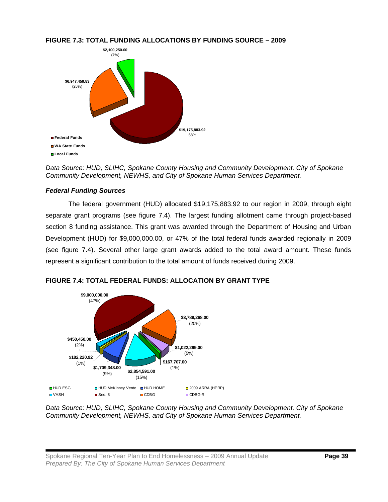

## **FIGURE 7.3: TOTAL FUNDING ALLOCATIONS BY FUNDING SOURCE – 2009**

*Data Source: HUD, SLIHC, Spokane County Housing and Community Development, City of Spokane Community Development, NEWHS, and City of Spokane Human Services Department.* 

## *Federal Funding Sources*

The federal government (HUD) allocated \$19,175,883.92 to our region in 2009, through eight separate grant programs (see figure 7.4). The largest funding allotment came through project-based section 8 funding assistance. This grant was awarded through the Department of Housing and Urban Development (HUD) for \$9,000,000.00, or 47% of the total federal funds awarded regionally in 2009 (see figure 7.4). Several other large grant awards added to the total award amount. These funds represent a significant contribution to the total amount of funds received during 2009.



**FIGURE 7.4: TOTAL FEDERAL FUNDS: ALLOCATION BY GRANT TYPE** 

*Data Source: HUD, SLIHC, Spokane County Housing and Community Development, City of Spokane Community Development, NEWHS, and City of Spokane Human Services Department.*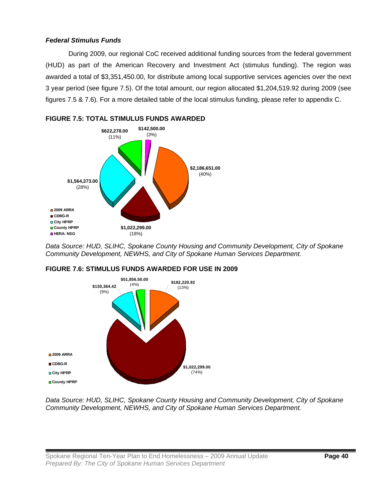## *Federal Stimulus Funds*

 During 2009, our regional CoC received additional funding sources from the federal government (HUD) as part of the American Recovery and Investment Act (stimulus funding). The region was awarded a total of \$3,351,450.00, for distribute among local supportive services agencies over the next 3 year period (see figure 7.5). Of the total amount, our region allocated \$1,204,519.92 during 2009 (see figures 7.5 & 7.6). For a more detailed table of the local stimulus funding, please refer to appendix C.



*Data Source: HUD, SLIHC, Spokane County Housing and Community Development, City of Spokane Community Development, NEWHS, and City of Spokane Human Services Department.* 



## **FIGURE 7.6: STIMULUS FUNDS AWARDED FOR USE IN 2009**

*Data Source: HUD, SLIHC, Spokane County Housing and Community Development, City of Spokane Community Development, NEWHS, and City of Spokane Human Services Department.*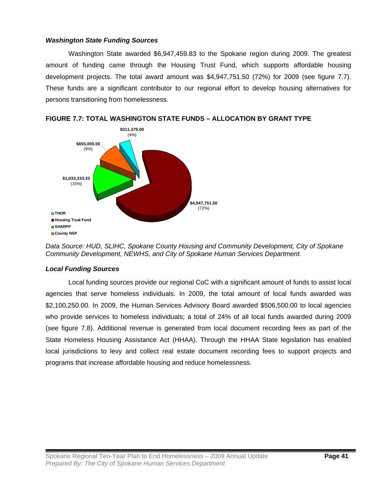## *Washington State Funding Sources*

Washington State awarded \$6,947,459.83 to the Spokane region during 2009. The greatest amount of funding came through the Housing Trust Fund, which supports affordable housing development projects. The total award amount was \$4,947,751.50 (72%) for 2009 (see figure 7.7). These funds are a significant contributor to our regional effort to develop housing alternatives for persons transitioning from homelessness.



**FIGURE 7.7: TOTAL WASHINGTON STATE FUNDS – ALLOCATION BY GRANT TYPE** 

*Data Source: HUD, SLIHC, Spokane County Housing and Community Development, City of Spokane Community Development, NEWHS, and City of Spokane Human Services Department.* 

## *Local Funding Sources*

 Local funding sources provide our regional CoC with a significant amount of funds to assist local agencies that serve homeless individuals. In 2009, the total amount of local funds awarded was \$2,100,250.00. In 2009, the Human Services Advisory Board awarded \$506,500.00 to local agencies who provide services to homeless individuals; a total of 24% of all local funds awarded during 2009 (see figure 7.8). Additional revenue is generated from local document recording fees as part of the State Homeless Housing Assistance Act (HHAA). Through the HHAA State legislation has enabled local jurisdictions to levy and collect real estate document recording fees to support projects and programs that increase affordable housing and reduce homelessness.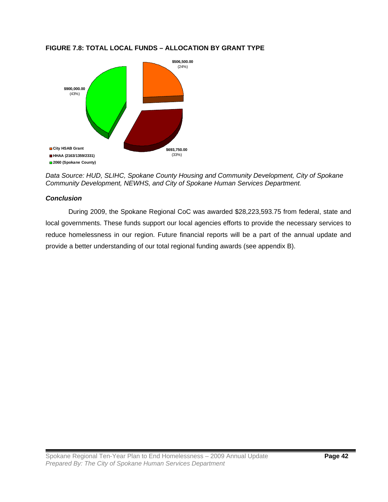## **FIGURE 7.8: TOTAL LOCAL FUNDS – ALLOCATION BY GRANT TYPE**



*Data Source: HUD, SLIHC, Spokane County Housing and Community Development, City of Spokane Community Development, NEWHS, and City of Spokane Human Services Department.* 

## *Conclusion*

During 2009, the Spokane Regional CoC was awarded \$28,223,593.75 from federal, state and local governments. These funds support our local agencies efforts to provide the necessary services to reduce homelessness in our region. Future financial reports will be a part of the annual update and provide a better understanding of our total regional funding awards (see appendix B).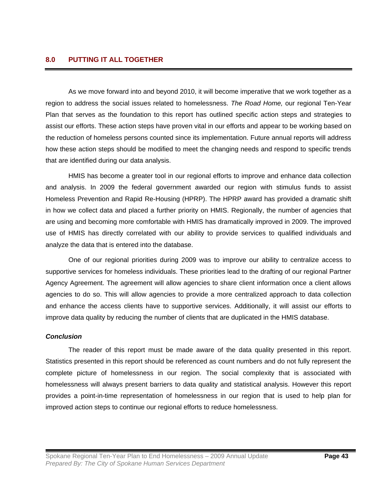As we move forward into and beyond 2010, it will become imperative that we work together as a region to address the social issues related to homelessness. *The Road Home,* our regional Ten-Year Plan that serves as the foundation to this report has outlined specific action steps and strategies to assist our efforts. These action steps have proven vital in our efforts and appear to be working based on the reduction of homeless persons counted since its implementation. Future annual reports will address how these action steps should be modified to meet the changing needs and respond to specific trends that are identified during our data analysis.

 HMIS has become a greater tool in our regional efforts to improve and enhance data collection and analysis. In 2009 the federal government awarded our region with stimulus funds to assist Homeless Prevention and Rapid Re-Housing (HPRP). The HPRP award has provided a dramatic shift in how we collect data and placed a further priority on HMIS. Regionally, the number of agencies that are using and becoming more comfortable with HMIS has dramatically improved in 2009. The improved use of HMIS has directly correlated with our ability to provide services to qualified individuals and analyze the data that is entered into the database.

 One of our regional priorities during 2009 was to improve our ability to centralize access to supportive services for homeless individuals. These priorities lead to the drafting of our regional Partner Agency Agreement. The agreement will allow agencies to share client information once a client allows agencies to do so. This will allow agencies to provide a more centralized approach to data collection and enhance the access clients have to supportive services. Additionally, it will assist our efforts to improve data quality by reducing the number of clients that are duplicated in the HMIS database.

#### *Conclusion*

The reader of this report must be made aware of the data quality presented in this report. Statistics presented in this report should be referenced as count numbers and do not fully represent the complete picture of homelessness in our region. The social complexity that is associated with homelessness will always present barriers to data quality and statistical analysis. However this report provides a point-in-time representation of homelessness in our region that is used to help plan for improved action steps to continue our regional efforts to reduce homelessness.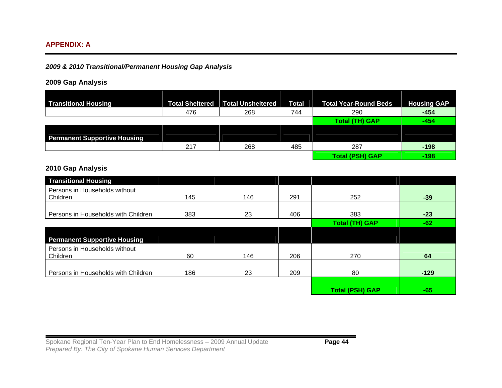## **APPENDIX: A**

## *2009 & 2010 Transitional/Permanent Housing Gap Analysis*

## **2009 Gap Analysis**

| <b>Transitional Housing</b>         | <b>Total Sheltered</b> | <b>Total Unsheltered</b> | <b>Total</b> | <b>Total Year-Round Beds</b> | <b>Housing GAP</b> |
|-------------------------------------|------------------------|--------------------------|--------------|------------------------------|--------------------|
|                                     | 476                    | 268                      | 744          | 290                          | $-454$             |
|                                     |                        |                          |              | Total (TH) GAP               | -454               |
|                                     |                        |                          |              |                              |                    |
| <b>Permanent Supportive Housing</b> |                        |                          |              |                              |                    |
|                                     | 217                    | 268                      | 485          | 287                          | $-198$             |
|                                     |                        |                          |              | <b>Total (PSH) GAP</b>       | $-198$             |

## **2010 Gap Analysis**

| <b>Transitional Housing</b>               |     |     |     |                        |        |
|-------------------------------------------|-----|-----|-----|------------------------|--------|
| Persons in Households without<br>Children | 145 | 146 | 291 | 252                    | $-39$  |
| Persons in Households with Children       | 383 | 23  | 406 | 383                    | $-23$  |
|                                           |     |     |     | <b>Total (TH) GAP</b>  | $-62$  |
|                                           |     |     |     |                        |        |
| <b>Permanent Supportive Housing</b>       |     |     |     |                        |        |
| Persons in Households without<br>Children | 60  | 146 | 206 | 270                    | 64     |
|                                           |     |     |     |                        |        |
| Persons in Households with Children       | 186 | 23  | 209 | 80                     | $-129$ |
|                                           |     |     |     |                        |        |
|                                           |     |     |     | <b>Total (PSH) GAP</b> | $-65$  |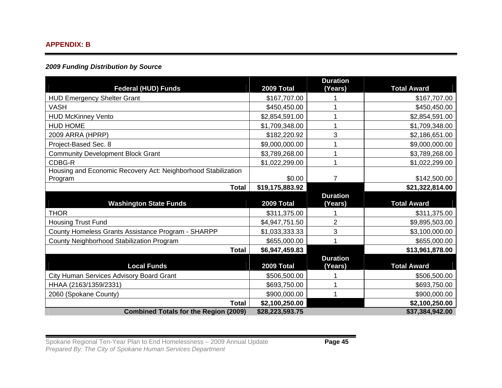#### **APPENDIX: B**

## *2009 Funding Distribution by Source*

| <b>Federal (HUD) Funds</b>                                               | 2009 Total      | <b>Duration</b><br>(Years) | <b>Total Award</b> |
|--------------------------------------------------------------------------|-----------------|----------------------------|--------------------|
| <b>HUD Emergency Shelter Grant</b>                                       | \$167,707.00    |                            | \$167,707.00       |
| <b>VASH</b>                                                              | \$450,450.00    |                            | \$450,450.00       |
| <b>HUD McKinney Vento</b>                                                | \$2,854,591.00  |                            | \$2,854,591.00     |
| <b>HUD HOME</b>                                                          | \$1,709,348.00  |                            | \$1,709,348.00     |
| 2009 ARRA (HPRP)                                                         | \$182,220.92    | 3                          | \$2,186,651.00     |
| Project-Based Sec. 8                                                     | \$9,000,000.00  |                            | \$9,000,000.00     |
| <b>Community Development Block Grant</b>                                 | \$3,789,268.00  |                            | \$3,789,268.00     |
| CDBG-R                                                                   | \$1,022,299.00  |                            | \$1,022,299.00     |
| Housing and Economic Recovery Act: Neighborhood Stabilization<br>Program | \$0.00          | 7                          | \$142,500.00       |
| <b>Total</b>                                                             | \$19,175,883.92 |                            | \$21,322,814.00    |
| <b>Washington State Funds</b>                                            | 2009 Total      | <b>Duration</b><br>(Years) | <b>Total Award</b> |
| <b>THOR</b>                                                              | \$311,375.00    |                            | \$311,375.00       |
| <b>Housing Trust Fund</b>                                                | \$4,947,751.50  | $\overline{2}$             | \$9,895,503.00     |
| County Homeless Grants Assistance Program - SHARPP                       | \$1,033,333.33  | 3                          | \$3,100,000.00     |
| County Neighborhood Stabilization Program                                | \$655,000.00    |                            | \$655,000.00       |
| <b>Total</b>                                                             | \$6,947,459.83  |                            | \$13,961,878.00    |
| <b>Local Funds</b>                                                       | 2009 Total      | <b>Duration</b><br>(Years) | <b>Total Award</b> |
| City Human Services Advisory Board Grant                                 | \$506,500.00    |                            | \$506,500.00       |
| HHAA (2163/1359/2331)                                                    | \$693,750.00    |                            | \$693,750.00       |
| 2060 (Spokane County)                                                    | \$900,000.00    |                            | \$900,000.00       |
| Total                                                                    | \$2,100,250.00  |                            | \$2,100,250.00     |
| <b>Combined Totals for the Region (2009)</b>                             | \$28,223,593.75 |                            | \$37,384,942.00    |

Spokane Regional Ten-Year Plan to End Homelessness - 2009 Annual Update **Page 45** *Prepared By: The City of Spokane Human Services Department*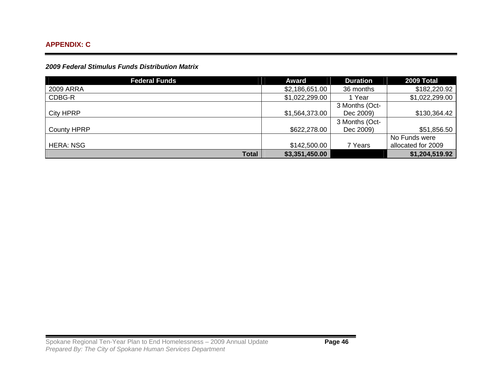*2009 Federal Stimulus Funds Distribution Matrix* 

| <b>Federal Funds</b> | Award          | <b>Duration</b> | 2009 Total         |
|----------------------|----------------|-----------------|--------------------|
| 2009 ARRA            | \$2,186,651.00 | 36 months       | \$182,220.92       |
| CDBG-R               | \$1,022,299.00 | Year            | \$1,022,299.00     |
|                      |                | 3 Months (Oct-  |                    |
| <b>City HPRP</b>     | \$1,564,373.00 | Dec 2009)       | \$130,364.42       |
|                      |                | 3 Months (Oct-  |                    |
| <b>County HPRP</b>   | \$622,278.00   | Dec 2009)       | \$51,856.50        |
|                      |                |                 | No Funds were      |
| <b>HERA: NSG</b>     | \$142,500.00   | 7 Years         | allocated for 2009 |
| <b>Total</b>         | \$3,351,450.00 |                 | \$1,204,519.92     |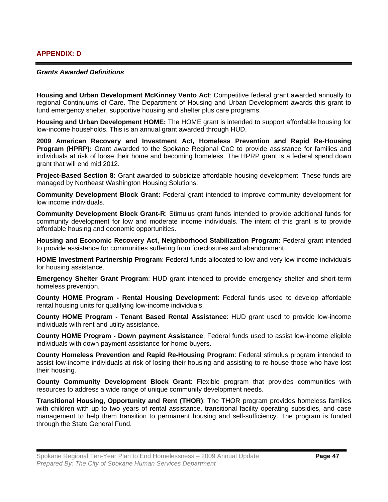#### *Grants Awarded Definitions*

**Housing and Urban Development McKinney Vento Act**: Competitive federal grant awarded annually to regional Continuums of Care. The Department of Housing and Urban Development awards this grant to fund emergency shelter, supportive housing and shelter plus care programs.

**Housing and Urban Development HOME:** The HOME grant is intended to support affordable housing for low-income households. This is an annual grant awarded through HUD.

**2009 American Recovery and Investment Act, Homeless Prevention and Rapid Re-Housing Program (HPRP):** Grant awarded to the Spokane Regional CoC to provide assistance for families and individuals at risk of loose their home and becoming homeless. The HPRP grant is a federal spend down grant that will end mid 2012.

**Project-Based Section 8:** Grant awarded to subsidize affordable housing development. These funds are managed by Northeast Washington Housing Solutions.

**Community Development Block Grant:** Federal grant intended to improve community development for low income individuals.

**Community Development Block Grant-R**: Stimulus grant funds intended to provide additional funds for community development for low and moderate income individuals. The intent of this grant is to provide affordable housing and economic opportunities.

**Housing and Economic Recovery Act, Neighborhood Stabilization Program**: Federal grant intended to provide assistance for communities suffering from foreclosures and abandonment.

**HOME Investment Partnership Program**: Federal funds allocated to low and very low income individuals for housing assistance.

**Emergency Shelter Grant Program**: HUD grant intended to provide emergency shelter and short-term homeless prevention.

**County HOME Program - Rental Housing Development**: Federal funds used to develop affordable rental housing units for qualifying low-income individuals.

**County HOME Program - Tenant Based Rental Assistance**: HUD grant used to provide low-income individuals with rent and utility assistance.

**County HOME Program - Down payment Assistance**: Federal funds used to assist low-income eligible individuals with down payment assistance for home buyers.

**County Homeless Prevention and Rapid Re-Housing Program**: Federal stimulus program intended to assist low-income individuals at risk of losing their housing and assisting to re-house those who have lost their housing.

**County Community Development Block Grant**: Flexible program that provides communities with resources to address a wide range of unique community development needs.

**Transitional Housing, Opportunity and Rent (THOR)**: The THOR program provides homeless families with children with up to two years of rental assistance, transitional facility operating subsidies, and case management to help them transition to permanent housing and self-sufficiency. The program is funded through the State General Fund.

Spokane Regional Ten-Year Plan to End Homelessness – 2009 Annual Update **Page 47** *Prepared By: The City of Spokane Human Services Department*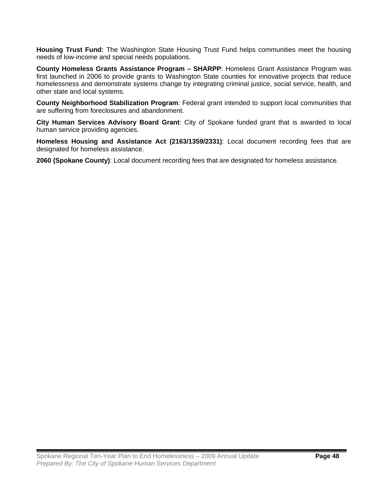**Housing Trust Fund:** The Washington State Housing Trust Fund helps communities meet the housing needs of low-income and special needs populations.

**County Homeless Grants Assistance Program – SHARPP**: Homeless Grant Assistance Program was first launched in 2006 to provide grants to Washington State counties for innovative projects that reduce homelessness and demonstrate systems change by integrating criminal justice, social service, health, and other state and local systems.

**County Neighborhood Stabilization Program**: Federal grant intended to support local communities that are suffering from foreclosures and abandonment.

**City Human Services Advisory Board Grant**: City of Spokane funded grant that is awarded to local human service providing agencies.

**Homeless Housing and Assistance Act (2163/1359/2331)**: Local document recording fees that are designated for homeless assistance.

**2060 (Spokane County)**: Local document recording fees that are designated for homeless assistance.